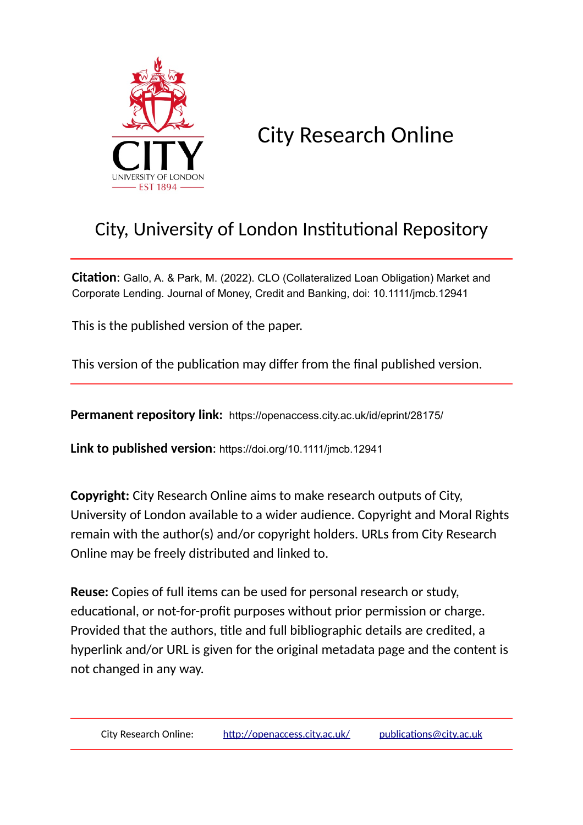

City Research Online

# City, University of London Institutional Repository

**Citation**: Gallo, A. & Park, M. (2022). CLO (Collateralized Loan Obligation) Market and Corporate Lending. Journal of Money, Credit and Banking, doi: 10.1111/jmcb.12941

This is the published version of the paper.

This version of the publication may differ from the final published version.

**Permanent repository link:** https://openaccess.city.ac.uk/id/eprint/28175/

**Link to published version**: https://doi.org/10.1111/jmcb.12941

**Copyright:** City Research Online aims to make research outputs of City, University of London available to a wider audience. Copyright and Moral Rights remain with the author(s) and/or copyright holders. URLs from City Research Online may be freely distributed and linked to.

**Reuse:** Copies of full items can be used for personal research or study, educational, or not-for-profit purposes without prior permission or charge. Provided that the authors, title and full bibliographic details are credited, a hyperlink and/or URL is given for the original metadata page and the content is not changed in any way.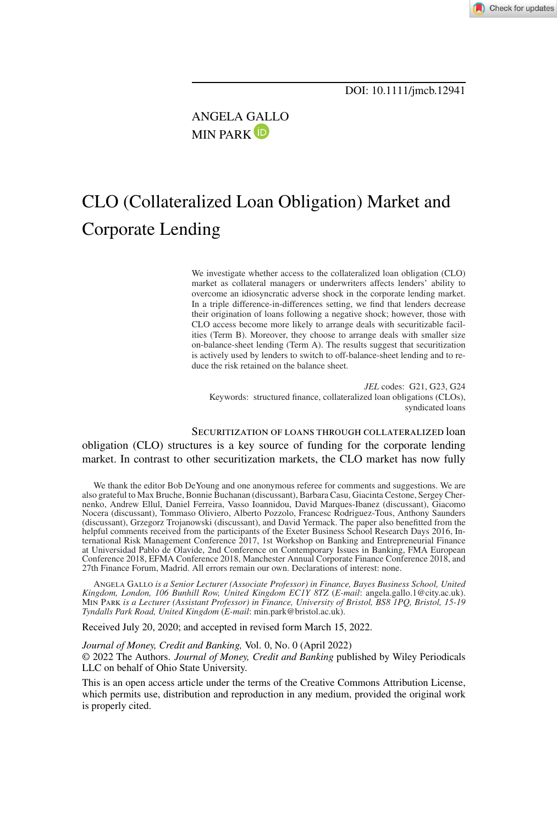ANGELA [GAL](https://orcid.org/0000-0002-4313-9091)LO **MIN PARK**<sup>D</sup>

## CLO (Collateralized Loan Obligation) Market and Corporate Lending

We investigate whether access to the collateralized loan obligation (CLO) market as collateral managers or underwriters affects lenders' ability to overcome an idiosyncratic adverse shock in the corporate lending market. In a triple difference-in-differences setting, we find that lenders decrease their origination of loans following a negative shock; however, those with CLO access become more likely to arrange deals with securitizable facilities (Term B). Moreover, they choose to arrange deals with smaller size on-balance-sheet lending (Term A). The results suggest that securitization is actively used by lenders to switch to off-balance-sheet lending and to reduce the risk retained on the balance sheet.

*JEL* codes: G21, G23, G24 Keywords: structured finance, collateralized loan obligations (CLOs), syndicated loans

Securitization of loans through collateralized loan obligation (CLO) structures is a key source of funding for the corporate lending market. In contrast to other securitization markets, the CLO market has now fully

We thank the editor Bob DeYoung and one anonymous referee for comments and suggestions. We are also grateful to Max Bruche, Bonnie Buchanan (discussant), Barbara Casu, Giacinta Cestone, Sergey Chernenko, Andrew Ellul, Daniel Ferreira, Vasso Ioannidou, David Marques-Ibanez (discussant), Giacomo Nocera (discussant), Tommaso Oliviero, Alberto Pozzolo, Francesc Rodriguez-Tous, Anthony Saunders (discussant), Grzegorz Trojanowski (discussant), and David Yermack. The paper also benefitted from the helpful comments received from the participants of the Exeter Business School Research Days 2016, International Risk Management Conference 2017, 1st Workshop on Banking and Entrepreneurial Finance at Universidad Pablo de Olavide, 2nd Conference on Contemporary Issues in Banking, FMA European Conference 2018, EFMA Conference 2018, Manchester Annual Corporate Finance Conference 2018, and 27th Finance Forum, Madrid. All errors remain our own. Declarations of interest: none.

Angela Gallo *is a Senior Lecturer (Associate Professor) in Finance, Bayes Business School, United Kingdom, London, 106 Bunhill Row, United Kingdom EC1Y 8TZ* (*E-mail*: angela.gallo.1@city.ac.uk). Min Park *is a Lecturer (Assistant Professor) in Finance, University of Bristol, BS8 1PQ, Bristol, 15-19 Tyndalls Park Road, United Kingdom* (*E-mail*: min.park@bristol.ac.uk).

Received July 20, 2020; and accepted in revised form March 15, 2022.

*Journal of Money, Credit and Banking,* Vol. 0, No. 0 (April 2022) © 2022 The Authors. *Journal of Money, Credit and Banking* published by Wiley Periodicals LLC on behalf of Ohio State University.

This is an open access article under the terms of the [Creative Commons Attribution](http://creativecommons.org/licenses/by/4.0/) License, which permits use, distribution and reproduction in any medium, provided the original work is properly cited.

Check for updates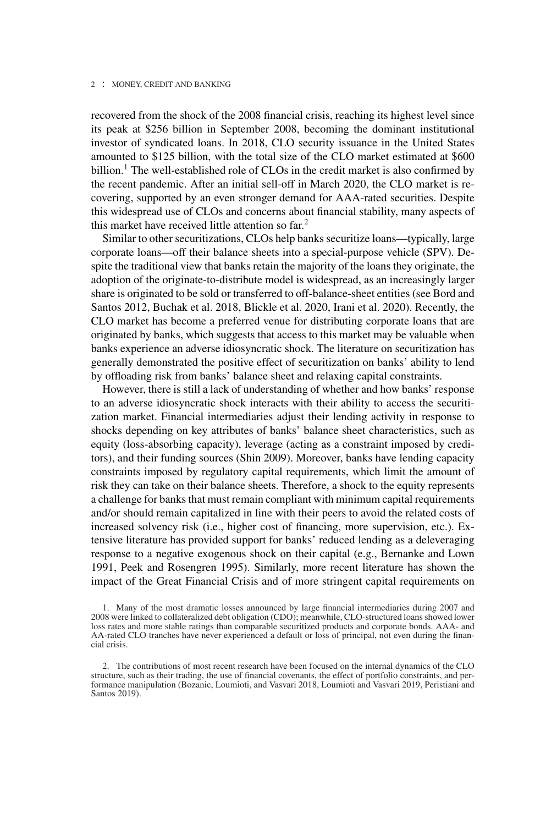recovered from the shock of the 2008 financial crisis, reaching its highest level since its peak at \$256 billion in September 2008, becoming the dominant institutional investor of syndicated loans. In 2018, CLO security issuance in the United States amounted to \$125 billion, with the total size of the CLO market estimated at \$600 billion.<sup>1</sup> The well-established role of CLOs in the credit market is also confirmed by the recent pandemic. After an initial sell-off in March 2020, the CLO market is recovering, supported by an even stronger demand for AAA-rated securities. Despite this widespread use of CLOs and concerns about financial stability, many aspects of this market have received little attention so far.<sup>2</sup>

Similar to other securitizations, CLOs help banks securitize loans—typically, large corporate loans—off their balance sheets into a special-purpose vehicle (SPV). Despite the traditional view that banks retain the majority of the loans they originate, the adoption of the originate-to-distribute model is widespread, as an increasingly larger share is originated to be sold or transferred to off-balance-sheet entities (see Bord and Santos 2012, Buchak et al. 2018, Blickle et al. 2020, Irani et al. 2020). Recently, the CLO market has become a preferred venue for distributing corporate loans that are originated by banks, which suggests that access to this market may be valuable when banks experience an adverse idiosyncratic shock. The literature on securitization has generally demonstrated the positive effect of securitization on banks' ability to lend by offloading risk from banks' balance sheet and relaxing capital constraints.

However, there is still a lack of understanding of whether and how banks' response to an adverse idiosyncratic shock interacts with their ability to access the securitization market. Financial intermediaries adjust their lending activity in response to shocks depending on key attributes of banks' balance sheet characteristics, such as equity (loss-absorbing capacity), leverage (acting as a constraint imposed by creditors), and their funding sources (Shin 2009). Moreover, banks have lending capacity constraints imposed by regulatory capital requirements, which limit the amount of risk they can take on their balance sheets. Therefore, a shock to the equity represents a challenge for banks that must remain compliant with minimum capital requirements and/or should remain capitalized in line with their peers to avoid the related costs of increased solvency risk (i.e., higher cost of financing, more supervision, etc.). Extensive literature has provided support for banks' reduced lending as a deleveraging response to a negative exogenous shock on their capital (e.g., Bernanke and Lown 1991, Peek and Rosengren 1995). Similarly, more recent literature has shown the impact of the Great Financial Crisis and of more stringent capital requirements on

<sup>1.</sup> Many of the most dramatic losses announced by large financial intermediaries during 2007 and 2008 were linked to collateralized debt obligation (CDO); meanwhile, CLO-structured loans showed lower loss rates and more stable ratings than comparable securitized products and corporate bonds. AAA- and AA-rated CLO tranches have never experienced a default or loss of principal, not even during the financial crisis.

<sup>2.</sup> The contributions of most recent research have been focused on the internal dynamics of the CLO structure, such as their trading, the use of financial covenants, the effect of portfolio constraints, and performance manipulation (Bozanic, Loumioti, and Vasvari 2018, Loumioti and Vasvari 2019, Peristiani and Santos 2019).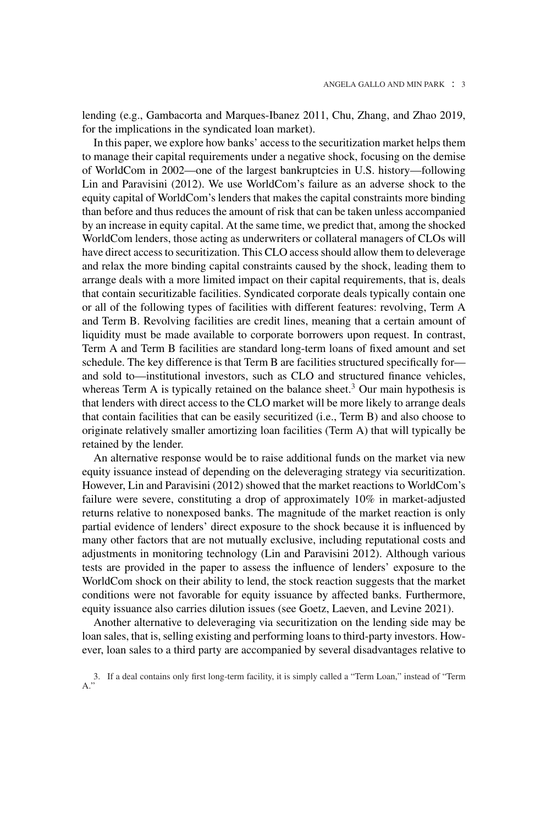lending (e.g., Gambacorta and Marques-Ibanez 2011, Chu, Zhang, and Zhao 2019, for the implications in the syndicated loan market).

In this paper, we explore how banks' access to the securitization market helps them to manage their capital requirements under a negative shock, focusing on the demise of WorldCom in 2002—one of the largest bankruptcies in U.S. history—following Lin and Paravisini (2012). We use WorldCom's failure as an adverse shock to the equity capital of WorldCom's lenders that makes the capital constraints more binding than before and thus reduces the amount of risk that can be taken unless accompanied by an increase in equity capital. At the same time, we predict that, among the shocked WorldCom lenders, those acting as underwriters or collateral managers of CLOs will have direct access to securitization. This CLO access should allow them to deleverage and relax the more binding capital constraints caused by the shock, leading them to arrange deals with a more limited impact on their capital requirements, that is, deals that contain securitizable facilities. Syndicated corporate deals typically contain one or all of the following types of facilities with different features: revolving, Term A and Term B. Revolving facilities are credit lines, meaning that a certain amount of liquidity must be made available to corporate borrowers upon request. In contrast, Term A and Term B facilities are standard long-term loans of fixed amount and set schedule. The key difference is that Term B are facilities structured specifically for and sold to—institutional investors, such as CLO and structured finance vehicles, whereas Term A is typically retained on the balance sheet.<sup>3</sup> Our main hypothesis is that lenders with direct access to the CLO market will be more likely to arrange deals that contain facilities that can be easily securitized (i.e., Term B) and also choose to originate relatively smaller amortizing loan facilities (Term A) that will typically be retained by the lender.

An alternative response would be to raise additional funds on the market via new equity issuance instead of depending on the deleveraging strategy via securitization. However, Lin and Paravisini (2012) showed that the market reactions to WorldCom's failure were severe, constituting a drop of approximately 10% in market-adjusted returns relative to nonexposed banks. The magnitude of the market reaction is only partial evidence of lenders' direct exposure to the shock because it is influenced by many other factors that are not mutually exclusive, including reputational costs and adjustments in monitoring technology (Lin and Paravisini 2012). Although various tests are provided in the paper to assess the influence of lenders' exposure to the WorldCom shock on their ability to lend, the stock reaction suggests that the market conditions were not favorable for equity issuance by affected banks. Furthermore, equity issuance also carries dilution issues (see Goetz, Laeven, and Levine 2021).

Another alternative to deleveraging via securitization on the lending side may be loan sales, that is, selling existing and performing loans to third-party investors. However, loan sales to a third party are accompanied by several disadvantages relative to

<sup>3.</sup> If a deal contains only first long-term facility, it is simply called a "Term Loan," instead of "Term A."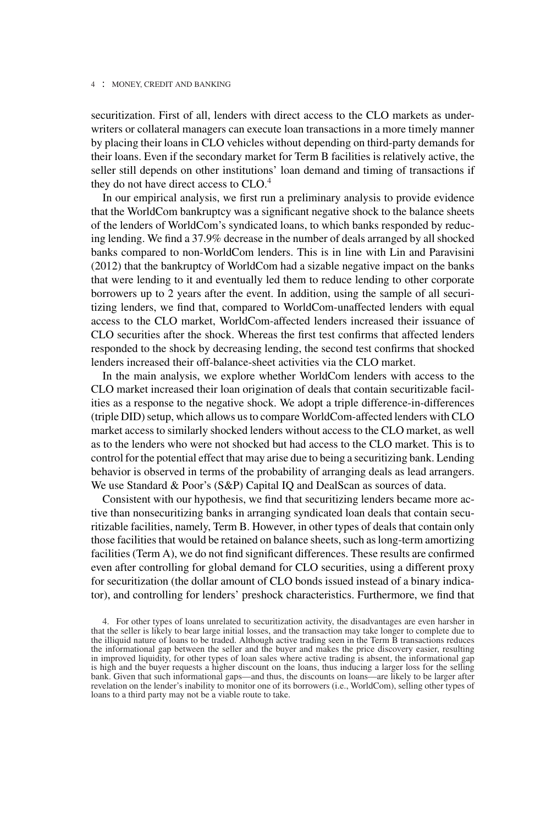securitization. First of all, lenders with direct access to the CLO markets as underwriters or collateral managers can execute loan transactions in a more timely manner by placing their loans in CLO vehicles without depending on third-party demands for their loans. Even if the secondary market for Term B facilities is relatively active, the seller still depends on other institutions' loan demand and timing of transactions if they do not have direct access to  $CLO<sup>4</sup>$ .

In our empirical analysis, we first run a preliminary analysis to provide evidence that the WorldCom bankruptcy was a significant negative shock to the balance sheets of the lenders of WorldCom's syndicated loans, to which banks responded by reducing lending. We find a 37.9% decrease in the number of deals arranged by all shocked banks compared to non-WorldCom lenders. This is in line with Lin and Paravisini (2012) that the bankruptcy of WorldCom had a sizable negative impact on the banks that were lending to it and eventually led them to reduce lending to other corporate borrowers up to 2 years after the event. In addition, using the sample of all securitizing lenders, we find that, compared to WorldCom-unaffected lenders with equal access to the CLO market, WorldCom-affected lenders increased their issuance of CLO securities after the shock. Whereas the first test confirms that affected lenders responded to the shock by decreasing lending, the second test confirms that shocked lenders increased their off-balance-sheet activities via the CLO market.

In the main analysis, we explore whether WorldCom lenders with access to the CLO market increased their loan origination of deals that contain securitizable facilities as a response to the negative shock. We adopt a triple difference-in-differences (triple DID) setup, which allows us to compare WorldCom-affected lenders with CLO market access to similarly shocked lenders without access to the CLO market, as well as to the lenders who were not shocked but had access to the CLO market. This is to control for the potential effect that may arise due to being a securitizing bank. Lending behavior is observed in terms of the probability of arranging deals as lead arrangers. We use Standard & Poor's (S&P) Capital IQ and DealScan as sources of data.

Consistent with our hypothesis, we find that securitizing lenders became more active than nonsecuritizing banks in arranging syndicated loan deals that contain securitizable facilities, namely, Term B. However, in other types of deals that contain only those facilities that would be retained on balance sheets, such as long-term amortizing facilities (Term A), we do not find significant differences. These results are confirmed even after controlling for global demand for CLO securities, using a different proxy for securitization (the dollar amount of CLO bonds issued instead of a binary indicator), and controlling for lenders' preshock characteristics. Furthermore, we find that

<sup>4.</sup> For other types of loans unrelated to securitization activity, the disadvantages are even harsher in that the seller is likely to bear large initial losses, and the transaction may take longer to complete due to the illiquid nature of loans to be traded. Although active trading seen in the Term B transactions reduces the informational gap between the seller and the buyer and makes the price discovery easier, resulting in improved liquidity, for other types of loan sales where active trading is absent, the informational gap is high and the buyer requests a higher discount on the loans, thus inducing a larger loss for the selling bank. Given that such informational gaps—and thus, the discounts on loans—are likely to be larger after revelation on the lender's inability to monitor one of its borrowers (i.e., WorldCom), selling other types of loans to a third party may not be a viable route to take.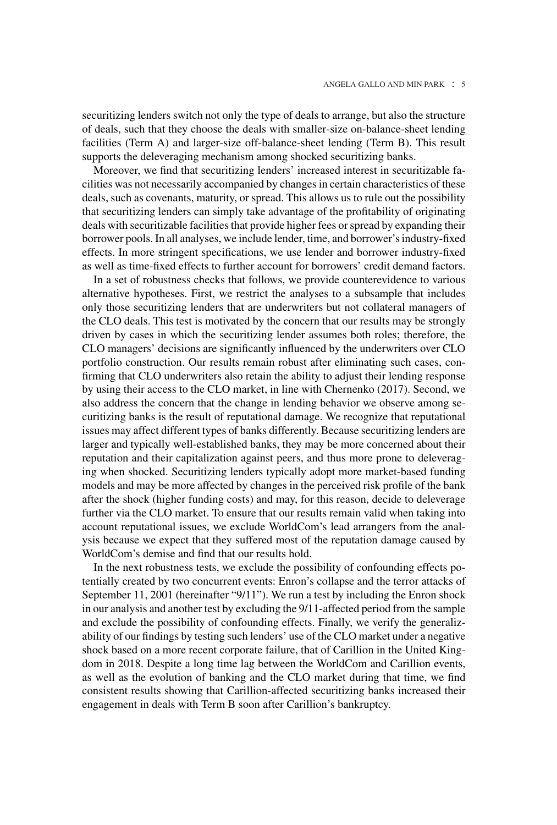securitizing lenders switch not only the type of deals to arrange, but also the structure of deals, such that they choose the deals with smaller-size on-balance-sheet lending facilities (Term A) and larger-size off-balance-sheet lending (Term B). This result supports the deleveraging mechanism among shocked securitizing banks.

Moreover, we find that securitizing lenders' increased interest in securitizable facilities was not necessarily accompanied by changes in certain characteristics of these deals, such as covenants, maturity, or spread. This allows us to rule out the possibility that securitizing lenders can simply take advantage of the profitability of originating deals with securitizable facilities that provide higher fees or spread by expanding their borrower pools. In all analyses, we include lender, time, and borrower's industry-fixed effects. In more stringent specifications, we use lender and borrower industry-fixed as well as time-fixed effects to further account for borrowers' credit demand factors.

In a set of robustness checks that follows, we provide counterevidence to various alternative hypotheses. First, we restrict the analyses to a subsample that includes only those securitizing lenders that are underwriters but not collateral managers of the CLO deals. This test is motivated by the concern that our results may be strongly driven by cases in which the securitizing lender assumes both roles; therefore, the CLO managers' decisions are significantly influenced by the underwriters over CLO portfolio construction. Our results remain robust after eliminating such cases, confirming that CLO underwriters also retain the ability to adjust their lending response by using their access to the CLO market, in line with Chernenko (2017). Second, we also address the concern that the change in lending behavior we observe among securitizing banks is the result of reputational damage. We recognize that reputational issues may affect different types of banks differently. Because securitizing lenders are larger and typically well-established banks, they may be more concerned about their reputation and their capitalization against peers, and thus more prone to deleveraging when shocked. Securitizing lenders typically adopt more market-based funding models and may be more affected by changes in the perceived risk profile of the bank after the shock (higher funding costs) and may, for this reason, decide to deleverage further via the CLO market. To ensure that our results remain valid when taking into account reputational issues, we exclude WorldCom's lead arrangers from the analysis because we expect that they suffered most of the reputation damage caused by WorldCom's demise and find that our results hold.

In the next robustness tests, we exclude the possibility of confounding effects potentially created by two concurrent events: Enron's collapse and the terror attacks of September 11, 2001 (hereinafter "9/11"). We run a test by including the Enron shock in our analysis and another test by excluding the 9/11-affected period from the sample and exclude the possibility of confounding effects. Finally, we verify the generalizability of our findings by testing such lenders' use of the CLO market under a negative shock based on a more recent corporate failure, that of Carillion in the United Kingdom in 2018. Despite a long time lag between the WorldCom and Carillion events, as well as the evolution of banking and the CLO market during that time, we find consistent results showing that Carillion-affected securitizing banks increased their engagement in deals with Term B soon after Carillion's bankruptcy.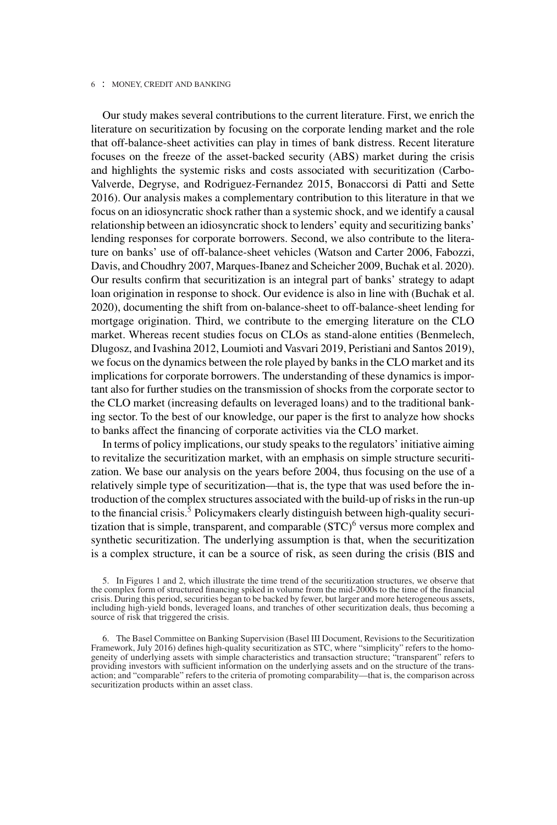Our study makes several contributions to the current literature. First, we enrich the literature on securitization by focusing on the corporate lending market and the role that off-balance-sheet activities can play in times of bank distress. Recent literature focuses on the freeze of the asset-backed security (ABS) market during the crisis and highlights the systemic risks and costs associated with securitization (Carbo-Valverde, Degryse, and Rodriguez-Fernandez 2015, Bonaccorsi di Patti and Sette 2016). Our analysis makes a complementary contribution to this literature in that we focus on an idiosyncratic shock rather than a systemic shock, and we identify a causal relationship between an idiosyncratic shock to lenders' equity and securitizing banks' lending responses for corporate borrowers. Second, we also contribute to the literature on banks' use of off-balance-sheet vehicles (Watson and Carter 2006, Fabozzi, Davis, and Choudhry 2007, Marques-Ibanez and Scheicher 2009, Buchak et al. 2020). Our results confirm that securitization is an integral part of banks' strategy to adapt loan origination in response to shock. Our evidence is also in line with (Buchak et al. 2020), documenting the shift from on-balance-sheet to off-balance-sheet lending for mortgage origination. Third, we contribute to the emerging literature on the CLO market. Whereas recent studies focus on CLOs as stand-alone entities (Benmelech, Dlugosz, and Ivashina 2012, Loumioti and Vasvari 2019, Peristiani and Santos 2019), we focus on the dynamics between the role played by banks in the CLO market and its implications for corporate borrowers. The understanding of these dynamics is important also for further studies on the transmission of shocks from the corporate sector to the CLO market (increasing defaults on leveraged loans) and to the traditional banking sector. To the best of our knowledge, our paper is the first to analyze how shocks to banks affect the financing of corporate activities via the CLO market.

In terms of policy implications, our study speaks to the regulators' initiative aiming to revitalize the securitization market, with an emphasis on simple structure securitization. We base our analysis on the years before 2004, thus focusing on the use of a relatively simple type of securitization—that is, the type that was used before the introduction of the complex structures associated with the build-up of risks in the run-up to the financial crisis.<sup>5</sup> Policymakers clearly distinguish between high-quality securitization that is simple, transparent, and comparable  $(TC)^6$  versus more complex and synthetic securitization. The underlying assumption is that, when the securitization is a complex structure, it can be a source of risk, as seen during the crisis (BIS and

5. In Figures 1 and 2, which illustrate the time trend of the securitization structures, we observe that the complex form of structured financing spiked in volume from the mid-2000s to the time of the financial crisis. During this period, securities began to be backed by fewer, but larger and more heterogeneous assets, including high-yield bonds, leveraged loans, and tranches of other securitization deals, thus becoming a source of risk that triggered the crisis.

6. The Basel Committee on Banking Supervision (Basel III Document, Revisions to the Securitization Framework, July 2016) defines high-quality securitization as STC, where "simplicity" refers to the homogeneity of underlying assets with simple characteristics and transaction structure; "transparent" refers to providing investors with sufficient information on the underlying assets and on the structure of the trans-action; and "comparable" refers to the criteria of promoting comparability—that is, the comparison across securitization products within an asset class.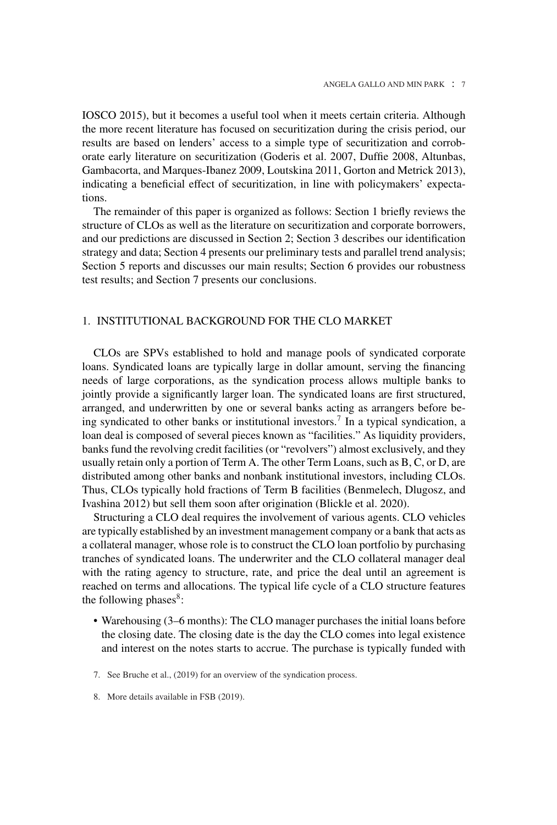IOSCO 2015), but it becomes a useful tool when it meets certain criteria. Although the more recent literature has focused on securitization during the crisis period, our results are based on lenders' access to a simple type of securitization and corroborate early literature on securitization (Goderis et al. 2007, Duffie 2008, Altunbas, Gambacorta, and Marques-Ibanez 2009, Loutskina 2011, Gorton and Metrick 2013), indicating a beneficial effect of securitization, in line with policymakers' expectations.

The remainder of this paper is organized as follows: Section 1 briefly reviews the structure of CLOs as well as the literature on securitization and corporate borrowers, and our predictions are discussed in Section 2; Section 3 describes our identification strategy and data; Section 4 presents our preliminary tests and parallel trend analysis; Section 5 reports and discusses our main results; Section 6 provides our robustness test results; and Section 7 presents our conclusions.

## 1. INSTITUTIONAL BACKGROUND FOR THE CLO MARKET

CLOs are SPVs established to hold and manage pools of syndicated corporate loans. Syndicated loans are typically large in dollar amount, serving the financing needs of large corporations, as the syndication process allows multiple banks to jointly provide a significantly larger loan. The syndicated loans are first structured, arranged, and underwritten by one or several banks acting as arrangers before being syndicated to other banks or institutional investors.<sup>7</sup> In a typical syndication, a loan deal is composed of several pieces known as "facilities." As liquidity providers, banks fund the revolving credit facilities (or "revolvers") almost exclusively, and they usually retain only a portion of Term A. The other Term Loans, such as B, C, or D, are distributed among other banks and nonbank institutional investors, including CLOs. Thus, CLOs typically hold fractions of Term B facilities (Benmelech, Dlugosz, and Ivashina 2012) but sell them soon after origination (Blickle et al. 2020).

Structuring a CLO deal requires the involvement of various agents. CLO vehicles are typically established by an investment management company or a bank that acts as a collateral manager, whose role is to construct the CLO loan portfolio by purchasing tranches of syndicated loans. The underwriter and the CLO collateral manager deal with the rating agency to structure, rate, and price the deal until an agreement is reached on terms and allocations. The typical life cycle of a CLO structure features the following phases $8$ :

- Warehousing (3–6 months): The CLO manager purchases the initial loans before the closing date. The closing date is the day the CLO comes into legal existence and interest on the notes starts to accrue. The purchase is typically funded with
- 7. See Bruche et al., (2019) for an overview of the syndication process.
- 8. More details available in FSB (2019).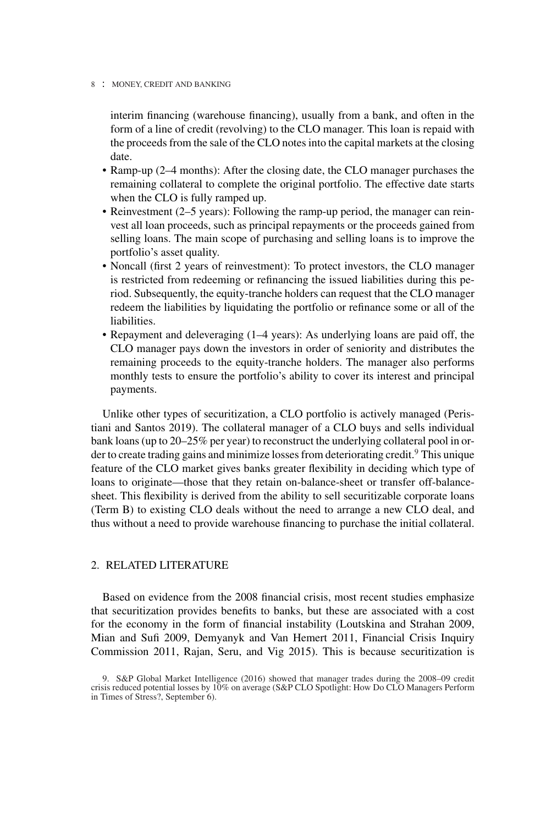interim financing (warehouse financing), usually from a bank, and often in the form of a line of credit (revolving) to the CLO manager. This loan is repaid with the proceeds from the sale of the CLO notes into the capital markets at the closing date.

- Ramp-up (2–4 months): After the closing date, the CLO manager purchases the remaining collateral to complete the original portfolio. The effective date starts when the CLO is fully ramped up.
- Reinvestment (2–5 years): Following the ramp-up period, the manager can reinvest all loan proceeds, such as principal repayments or the proceeds gained from selling loans. The main scope of purchasing and selling loans is to improve the portfolio's asset quality.
- Noncall (first 2 years of reinvestment): To protect investors, the CLO manager is restricted from redeeming or refinancing the issued liabilities during this period. Subsequently, the equity-tranche holders can request that the CLO manager redeem the liabilities by liquidating the portfolio or refinance some or all of the liabilities.
- Repayment and deleveraging (1–4 years): As underlying loans are paid off, the CLO manager pays down the investors in order of seniority and distributes the remaining proceeds to the equity-tranche holders. The manager also performs monthly tests to ensure the portfolio's ability to cover its interest and principal payments.

Unlike other types of securitization, a CLO portfolio is actively managed (Peristiani and Santos 2019). The collateral manager of a CLO buys and sells individual bank loans (up to 20–25% per year) to reconstruct the underlying collateral pool in order to create trading gains and minimize losses from deteriorating credit.<sup>9</sup> This unique feature of the CLO market gives banks greater flexibility in deciding which type of loans to originate—those that they retain on-balance-sheet or transfer off-balancesheet. This flexibility is derived from the ability to sell securitizable corporate loans (Term B) to existing CLO deals without the need to arrange a new CLO deal, and thus without a need to provide warehouse financing to purchase the initial collateral.

## 2. RELATED LITERATURE

Based on evidence from the 2008 financial crisis, most recent studies emphasize that securitization provides benefits to banks, but these are associated with a cost for the economy in the form of financial instability (Loutskina and Strahan 2009, Mian and Sufi 2009, Demyanyk and Van Hemert 2011, Financial Crisis Inquiry Commission 2011, Rajan, Seru, and Vig 2015). This is because securitization is

<sup>9.</sup> S&P Global Market Intelligence (2016) showed that manager trades during the 2008–09 credit crisis reduced potential losses by 10% on average (S&P CLO Spotlight: How Do CLO Managers Perform in Times of Stress?, September 6).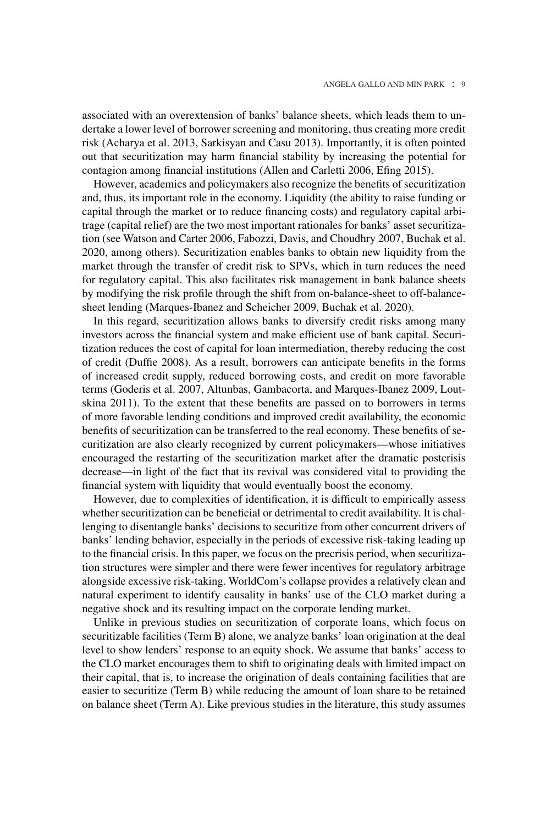associated with an overextension of banks' balance sheets, which leads them to undertake a lower level of borrower screening and monitoring, thus creating more credit risk (Acharya et al. 2013, Sarkisyan and Casu 2013). Importantly, it is often pointed out that securitization may harm financial stability by increasing the potential for contagion among financial institutions (Allen and Carletti 2006, Efing 2015).

However, academics and policymakers also recognize the benefits of securitization and, thus, its important role in the economy. Liquidity (the ability to raise funding or capital through the market or to reduce financing costs) and regulatory capital arbitrage (capital relief) are the two most important rationales for banks' asset securitization (see Watson and Carter 2006, Fabozzi, Davis, and Choudhry 2007, Buchak et al. 2020, among others). Securitization enables banks to obtain new liquidity from the market through the transfer of credit risk to SPVs, which in turn reduces the need for regulatory capital. This also facilitates risk management in bank balance sheets by modifying the risk profile through the shift from on-balance-sheet to off-balancesheet lending (Marques-Ibanez and Scheicher 2009, Buchak et al. 2020).

In this regard, securitization allows banks to diversify credit risks among many investors across the financial system and make efficient use of bank capital. Securitization reduces the cost of capital for loan intermediation, thereby reducing the cost of credit (Duffie 2008). As a result, borrowers can anticipate benefits in the forms of increased credit supply, reduced borrowing costs, and credit on more favorable terms (Goderis et al. 2007, Altunbas, Gambacorta, and Marques-Ibanez 2009, Loutskina 2011). To the extent that these benefits are passed on to borrowers in terms of more favorable lending conditions and improved credit availability, the economic benefits of securitization can be transferred to the real economy. These benefits of securitization are also clearly recognized by current policymakers—whose initiatives encouraged the restarting of the securitization market after the dramatic postcrisis decrease—in light of the fact that its revival was considered vital to providing the financial system with liquidity that would eventually boost the economy.

However, due to complexities of identification, it is difficult to empirically assess whether securitization can be beneficial or detrimental to credit availability. It is challenging to disentangle banks' decisions to securitize from other concurrent drivers of banks' lending behavior, especially in the periods of excessive risk-taking leading up to the financial crisis. In this paper, we focus on the precrisis period, when securitization structures were simpler and there were fewer incentives for regulatory arbitrage alongside excessive risk-taking. WorldCom's collapse provides a relatively clean and natural experiment to identify causality in banks' use of the CLO market during a negative shock and its resulting impact on the corporate lending market.

Unlike in previous studies on securitization of corporate loans, which focus on securitizable facilities (Term B) alone, we analyze banks' loan origination at the deal level to show lenders' response to an equity shock. We assume that banks' access to the CLO market encourages them to shift to originating deals with limited impact on their capital, that is, to increase the origination of deals containing facilities that are easier to securitize (Term B) while reducing the amount of loan share to be retained on balance sheet (Term A). Like previous studies in the literature, this study assumes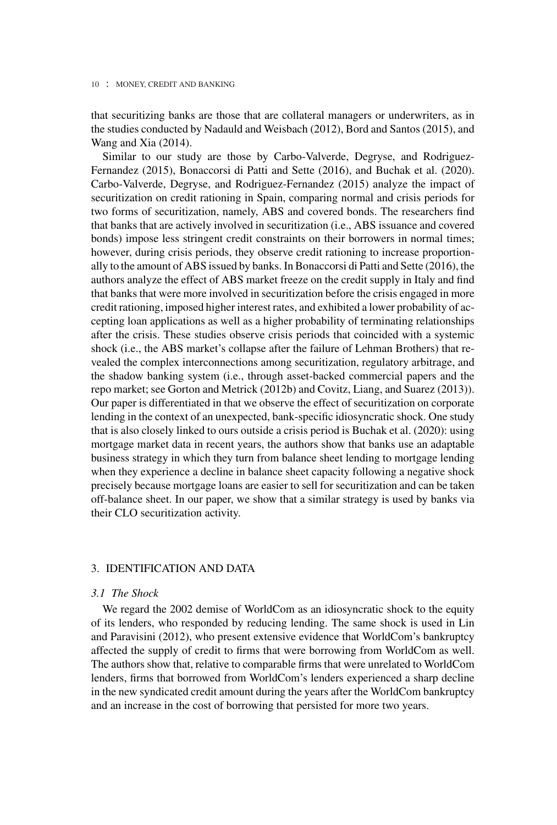that securitizing banks are those that are collateral managers or underwriters, as in the studies conducted by Nadauld and Weisbach (2012), Bord and Santos (2015), and Wang and Xia (2014).

Similar to our study are those by Carbo-Valverde, Degryse, and Rodriguez-Fernandez (2015), Bonaccorsi di Patti and Sette (2016), and Buchak et al. (2020). Carbo-Valverde, Degryse, and Rodriguez-Fernandez (2015) analyze the impact of securitization on credit rationing in Spain, comparing normal and crisis periods for two forms of securitization, namely, ABS and covered bonds. The researchers find that banks that are actively involved in securitization (i.e., ABS issuance and covered bonds) impose less stringent credit constraints on their borrowers in normal times; however, during crisis periods, they observe credit rationing to increase proportionally to the amount of ABS issued by banks. In Bonaccorsi di Patti and Sette (2016), the authors analyze the effect of ABS market freeze on the credit supply in Italy and find that banks that were more involved in securitization before the crisis engaged in more credit rationing, imposed higher interest rates, and exhibited a lower probability of accepting loan applications as well as a higher probability of terminating relationships after the crisis. These studies observe crisis periods that coincided with a systemic shock (i.e., the ABS market's collapse after the failure of Lehman Brothers) that revealed the complex interconnections among securitization, regulatory arbitrage, and the shadow banking system (i.e., through asset-backed commercial papers and the repo market; see Gorton and Metrick (2012b) and Covitz, Liang, and Suarez (2013)). Our paper is differentiated in that we observe the effect of securitization on corporate lending in the context of an unexpected, bank-specific idiosyncratic shock. One study that is also closely linked to ours outside a crisis period is Buchak et al. (2020): using mortgage market data in recent years, the authors show that banks use an adaptable business strategy in which they turn from balance sheet lending to mortgage lending when they experience a decline in balance sheet capacity following a negative shock precisely because mortgage loans are easier to sell for securitization and can be taken off-balance sheet. In our paper, we show that a similar strategy is used by banks via their CLO securitization activity.

## 3. IDENTIFICATION AND DATA

## *3.1 The Shock*

We regard the 2002 demise of WorldCom as an idiosyncratic shock to the equity of its lenders, who responded by reducing lending. The same shock is used in Lin and Paravisini (2012), who present extensive evidence that WorldCom's bankruptcy affected the supply of credit to firms that were borrowing from WorldCom as well. The authors show that, relative to comparable firms that were unrelated to WorldCom lenders, firms that borrowed from WorldCom's lenders experienced a sharp decline in the new syndicated credit amount during the years after the WorldCom bankruptcy and an increase in the cost of borrowing that persisted for more two years.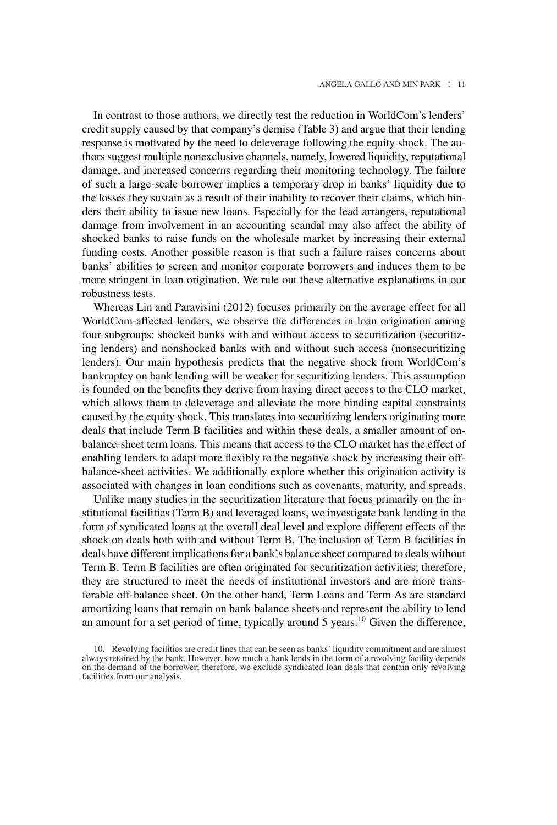In contrast to those authors, we directly test the reduction in WorldCom's lenders' credit supply caused by that company's demise (Table 3) and argue that their lending response is motivated by the need to deleverage following the equity shock. The authors suggest multiple nonexclusive channels, namely, lowered liquidity, reputational damage, and increased concerns regarding their monitoring technology. The failure of such a large-scale borrower implies a temporary drop in banks' liquidity due to the losses they sustain as a result of their inability to recover their claims, which hinders their ability to issue new loans. Especially for the lead arrangers, reputational damage from involvement in an accounting scandal may also affect the ability of shocked banks to raise funds on the wholesale market by increasing their external funding costs. Another possible reason is that such a failure raises concerns about banks' abilities to screen and monitor corporate borrowers and induces them to be more stringent in loan origination. We rule out these alternative explanations in our robustness tests.

Whereas Lin and Paravisini (2012) focuses primarily on the average effect for all WorldCom-affected lenders, we observe the differences in loan origination among four subgroups: shocked banks with and without access to securitization (securitizing lenders) and nonshocked banks with and without such access (nonsecuritizing lenders). Our main hypothesis predicts that the negative shock from WorldCom's bankruptcy on bank lending will be weaker for securitizing lenders. This assumption is founded on the benefits they derive from having direct access to the CLO market, which allows them to deleverage and alleviate the more binding capital constraints caused by the equity shock. This translates into securitizing lenders originating more deals that include Term B facilities and within these deals, a smaller amount of onbalance-sheet term loans. This means that access to the CLO market has the effect of enabling lenders to adapt more flexibly to the negative shock by increasing their offbalance-sheet activities. We additionally explore whether this origination activity is associated with changes in loan conditions such as covenants, maturity, and spreads.

Unlike many studies in the securitization literature that focus primarily on the institutional facilities (Term B) and leveraged loans, we investigate bank lending in the form of syndicated loans at the overall deal level and explore different effects of the shock on deals both with and without Term B. The inclusion of Term B facilities in deals have different implications for a bank's balance sheet compared to deals without Term B. Term B facilities are often originated for securitization activities; therefore, they are structured to meet the needs of institutional investors and are more transferable off-balance sheet. On the other hand, Term Loans and Term As are standard amortizing loans that remain on bank balance sheets and represent the ability to lend an amount for a set period of time, typically around 5 years.<sup>10</sup> Given the difference,

<sup>10.</sup> Revolving facilities are credit lines that can be seen as banks' liquidity commitment and are almost always retained by the bank. However, how much a bank lends in the form of a revolving facility depends on the demand of the borrower; therefore, we exclude syndicated loan deals that contain only revolving facilities from our analysis.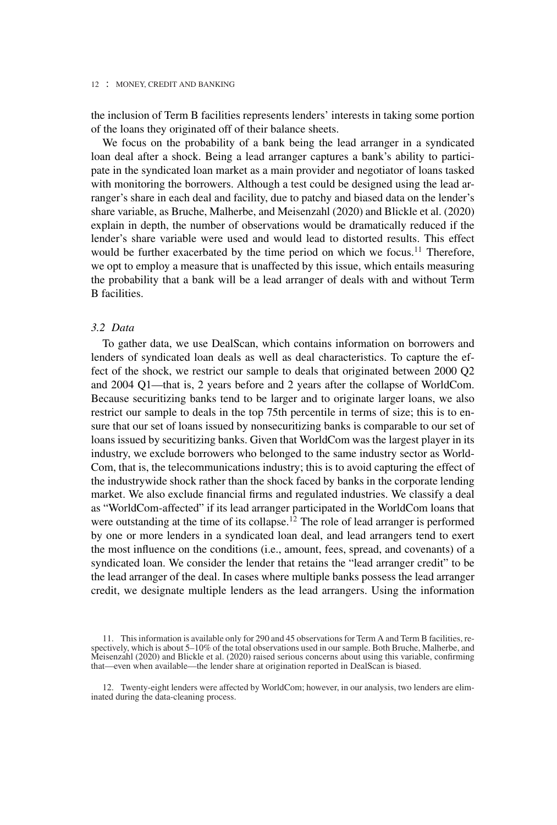the inclusion of Term B facilities represents lenders' interests in taking some portion of the loans they originated off of their balance sheets.

We focus on the probability of a bank being the lead arranger in a syndicated loan deal after a shock. Being a lead arranger captures a bank's ability to participate in the syndicated loan market as a main provider and negotiator of loans tasked with monitoring the borrowers. Although a test could be designed using the lead arranger's share in each deal and facility, due to patchy and biased data on the lender's share variable, as Bruche, Malherbe, and Meisenzahl (2020) and Blickle et al. (2020) explain in depth, the number of observations would be dramatically reduced if the lender's share variable were used and would lead to distorted results. This effect would be further exacerbated by the time period on which we focus.<sup>11</sup> Therefore, we opt to employ a measure that is unaffected by this issue, which entails measuring the probability that a bank will be a lead arranger of deals with and without Term B facilities.

## *3.2 Data*

To gather data, we use DealScan, which contains information on borrowers and lenders of syndicated loan deals as well as deal characteristics. To capture the effect of the shock, we restrict our sample to deals that originated between 2000 Q2 and 2004 Q1—that is, 2 years before and 2 years after the collapse of WorldCom. Because securitizing banks tend to be larger and to originate larger loans, we also restrict our sample to deals in the top 75th percentile in terms of size; this is to ensure that our set of loans issued by nonsecuritizing banks is comparable to our set of loans issued by securitizing banks. Given that WorldCom was the largest player in its industry, we exclude borrowers who belonged to the same industry sector as World-Com, that is, the telecommunications industry; this is to avoid capturing the effect of the industrywide shock rather than the shock faced by banks in the corporate lending market. We also exclude financial firms and regulated industries. We classify a deal as "WorldCom-affected" if its lead arranger participated in the WorldCom loans that were outstanding at the time of its collapse.<sup>12</sup> The role of lead arranger is performed by one or more lenders in a syndicated loan deal, and lead arrangers tend to exert the most influence on the conditions (i.e., amount, fees, spread, and covenants) of a syndicated loan. We consider the lender that retains the "lead arranger credit" to be the lead arranger of the deal. In cases where multiple banks possess the lead arranger credit, we designate multiple lenders as the lead arrangers. Using the information

<sup>11.</sup> This information is available only for 290 and 45 observations for Term A and Term B facilities, respectively, which is about 5–10% of the total observations used in our sample. Both Bruche, Malherbe, and Meisenzahl (2020) and Blickle et al. (2020) raised serious concerns about using this variable, confirming that—even when available—the lender share at origination reported in DealScan is biased.

<sup>12.</sup> Twenty-eight lenders were affected by WorldCom; however, in our analysis, two lenders are eliminated during the data-cleaning process.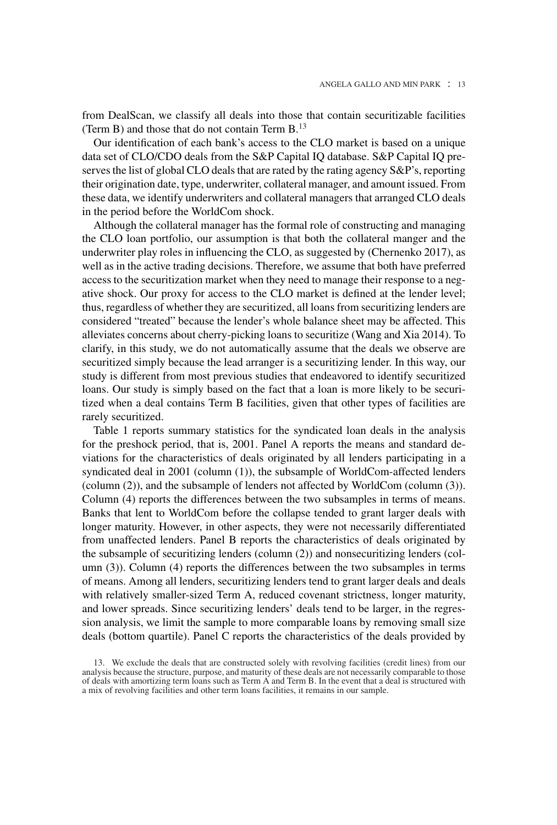from DealScan, we classify all deals into those that contain securitizable facilities (Term B) and those that do not contain Term B.<sup>13</sup>

Our identification of each bank's access to the CLO market is based on a unique data set of CLO/CDO deals from the S&P Capital IQ database. S&P Capital IQ preserves the list of global CLO deals that are rated by the rating agency S&P's, reporting their origination date, type, underwriter, collateral manager, and amount issued. From these data, we identify underwriters and collateral managers that arranged CLO deals in the period before the WorldCom shock.

Although the collateral manager has the formal role of constructing and managing the CLO loan portfolio, our assumption is that both the collateral manger and the underwriter play roles in influencing the CLO, as suggested by (Chernenko 2017), as well as in the active trading decisions. Therefore, we assume that both have preferred access to the securitization market when they need to manage their response to a negative shock. Our proxy for access to the CLO market is defined at the lender level; thus, regardless of whether they are securitized, all loans from securitizing lenders are considered "treated" because the lender's whole balance sheet may be affected. This alleviates concerns about cherry-picking loans to securitize (Wang and Xia 2014). To clarify, in this study, we do not automatically assume that the deals we observe are securitized simply because the lead arranger is a securitizing lender. In this way, our study is different from most previous studies that endeavored to identify securitized loans. Our study is simply based on the fact that a loan is more likely to be securitized when a deal contains Term B facilities, given that other types of facilities are rarely securitized.

Table 1 reports summary statistics for the syndicated loan deals in the analysis for the preshock period, that is, 2001. Panel A reports the means and standard deviations for the characteristics of deals originated by all lenders participating in a syndicated deal in 2001 (column (1)), the subsample of WorldCom-affected lenders (column (2)), and the subsample of lenders not affected by WorldCom (column (3)). Column (4) reports the differences between the two subsamples in terms of means. Banks that lent to WorldCom before the collapse tended to grant larger deals with longer maturity. However, in other aspects, they were not necessarily differentiated from unaffected lenders. Panel B reports the characteristics of deals originated by the subsample of securitizing lenders (column (2)) and nonsecuritizing lenders (column (3)). Column (4) reports the differences between the two subsamples in terms of means. Among all lenders, securitizing lenders tend to grant larger deals and deals with relatively smaller-sized Term A, reduced covenant strictness, longer maturity, and lower spreads. Since securitizing lenders' deals tend to be larger, in the regression analysis, we limit the sample to more comparable loans by removing small size deals (bottom quartile). Panel C reports the characteristics of the deals provided by

<sup>13.</sup> We exclude the deals that are constructed solely with revolving facilities (credit lines) from our analysis because the structure, purpose, and maturity of these deals are not necessarily comparable to those of deals with amortizing term loans such as Term A and Term B. In the event that a deal is structured with a mix of revolving facilities and other term loans facilities, it remains in our sample.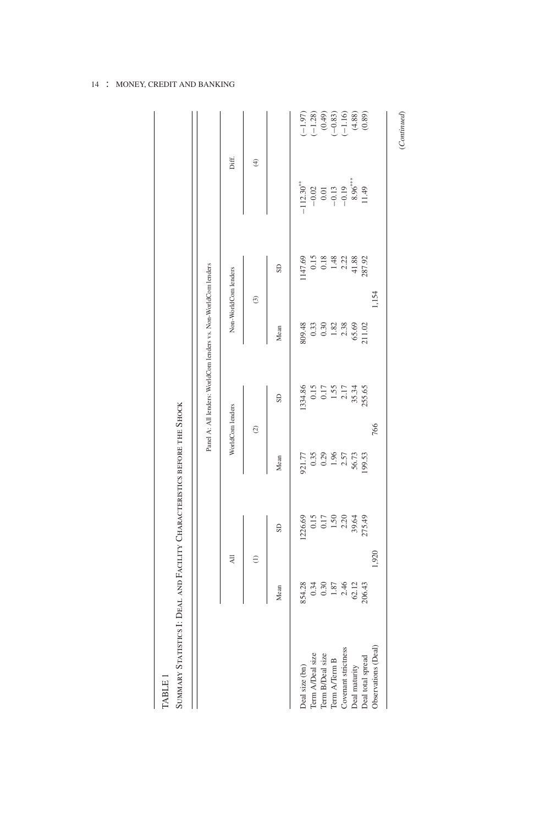|                                                                                                                         |                            |                                             |                                        | Panel A: All lenders: WorldCom lenders vs. Non-WorldCom lenders |                                             |                      |                                                    |                                                                                                                 |
|-------------------------------------------------------------------------------------------------------------------------|----------------------------|---------------------------------------------|----------------------------------------|-----------------------------------------------------------------|---------------------------------------------|----------------------|----------------------------------------------------|-----------------------------------------------------------------------------------------------------------------|
|                                                                                                                         |                            | $\overline{a}$                              |                                        | WorldCom lenders                                                |                                             | Non-WorldCom lenders | Diff.                                              |                                                                                                                 |
|                                                                                                                         |                            | $\widehat{c}$                               | $\circledcirc$                         |                                                                 |                                             | $\odot$              | $\oplus$                                           |                                                                                                                 |
|                                                                                                                         | Mean                       | SD                                          | Mean                                   | SD                                                              | Mean                                        | GS                   |                                                    |                                                                                                                 |
| Deal size (bn)                                                                                                          | 854.28                     | 1226.69                                     |                                        | 1334.86                                                         | 809.48                                      | 1147.69              | $-112.30***$                                       |                                                                                                                 |
|                                                                                                                         | 0.34                       | 0.15                                        | 921.77<br>0.35<br>0.29<br>1.96<br>2.57 |                                                                 | 0.33                                        | 0.15                 |                                                    | $\begin{array}{c} (-1.97) \\ (-1.28) \\ (0.49) \\ (-0.83) \\ (-1.16) \\ (+1.6) \\ (4.88) \\ (0.89) \end{array}$ |
| Term A/Deal size<br>Term B/Deal size                                                                                    |                            |                                             |                                        | $\begin{array}{c} 0.15 \\ 0.17 \\ 1.55 \\ 2.17 \end{array}$     |                                             |                      |                                                    |                                                                                                                 |
| $\begin{array}{c} \mathrm{Term} \; \mathrm{ATerm} \; \mathrm{B} \\ \mathrm{Covenant} \; \mathrm{stictions} \end{array}$ | $0.30$<br>$1.87$<br>$2.46$ | $\begin{array}{c} 0.17 \\ 1.50 \end{array}$ |                                        |                                                                 | $\begin{array}{c} 0.30 \\ 1.82 \end{array}$ | $0.18$<br>1.48       |                                                    |                                                                                                                 |
|                                                                                                                         |                            | 2.20                                        |                                        |                                                                 | 2.38                                        | 2.22                 |                                                    |                                                                                                                 |
| Deal maturity                                                                                                           | $62.12$<br>$206.43$        | 39.64<br>275.49                             | 56.73                                  | 35.34                                                           | 65.69                                       | 41.88                | $-0.02$<br>$0.01$<br>$-0.13$<br>$-0.19$<br>8.96*** |                                                                                                                 |
| Deal total spread                                                                                                       |                            |                                             | 199.53                                 |                                                                 | 211.02                                      | 287.92               |                                                    |                                                                                                                 |
| Observations (Deal)                                                                                                     |                            | 1,920                                       |                                        | 766                                                             |                                             | 1,154                |                                                    |                                                                                                                 |

TABLE 1

 $(Continued) % \begin{minipage}[b]{0.5\linewidth} \centering \centerline{\includegraphics[width=0.5\linewidth]{images/STM100020.jpg} \centerline{\includegraphics[width=0.5\linewidth]{images/STM100020.jpg} \centerline{\includegraphics[width=0.5\linewidth]{images/STM100020.jpg} \centerline{\includegraphics[width=0.5\linewidth]{images/STM100020.jpg} \centerline{\includegraphics[width=0.5\linewidth]{images/STM100020.jpg} \centerline{\includegraphics[width=0.5\linewidth]{images/STM100020.jpg} \centerline{\includegraphics[width=0.5\linewidth]{images/STM100020.jpg} \centerline{\includegraphics[width$ (*Continued*)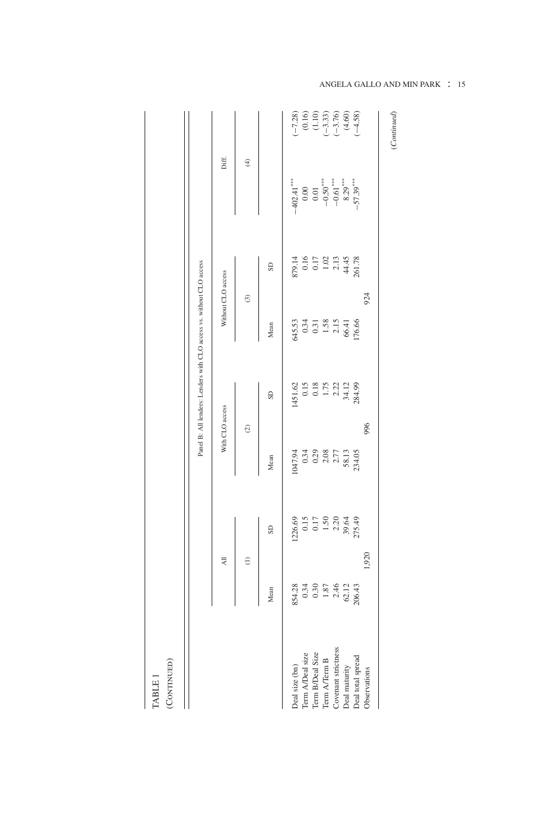|                                      |                                                              |                                                                                           |                                                                                | Panel B: All lenders: Lenders with CLO access vs. without CLO access |                                                   |                                              |                                                    |                                                                                     |
|--------------------------------------|--------------------------------------------------------------|-------------------------------------------------------------------------------------------|--------------------------------------------------------------------------------|----------------------------------------------------------------------|---------------------------------------------------|----------------------------------------------|----------------------------------------------------|-------------------------------------------------------------------------------------|
|                                      |                                                              | $\overline{AB}$                                                                           | With CLO access                                                                |                                                                      |                                                   | Without CLO access                           | Diff.                                              |                                                                                     |
|                                      |                                                              | $\widehat{c}$                                                                             | $\circledcirc$                                                                 |                                                                      | $\widehat{\mathcal{C}}$                           |                                              | $\oplus$                                           |                                                                                     |
|                                      | Mean                                                         | GS                                                                                        | Mean                                                                           | GS                                                                   | Mean                                              | SD                                           |                                                    |                                                                                     |
| Deal size (bn)                       |                                                              |                                                                                           | 1047.94                                                                        | 1451.62                                                              |                                                   |                                              | $-402.41***$                                       |                                                                                     |
|                                      | 854.28<br>0.34<br>0.30<br>1.87<br>2.46<br>2.05.29<br>2006.43 | $\begin{array}{c} 1226.69 \\ 0.15 \\ 0.17 \\ 1.50 \\ 2.20 \\ 39.64 \\ 275.49 \end{array}$ | $\begin{array}{c} 0.34 \\ 0.29 \\ 0.38 \\ 2.41 \\ 58.13 \\ 534.05 \end{array}$ | 0.15<br>0.18<br>1.75<br>2.21<br>2.34.99<br>284.99                    | $345.53$<br>0.34<br>0.31<br>1.58<br>1.58<br>06.41 | 879.14<br>0.16<br>0.17<br>1.02<br>1.44<br>44 | 0.00<br>0.01<br>-0.50****<br>-8.29***<br>-57.39*** | $(-7.28)$<br>$(0.16)$<br>$(1.10)$<br>$(-3.33)$<br>$(-3.76)$<br>$(4.60)$<br>$(4.58)$ |
| Term A/Deal size<br>Term B/Deal Size |                                                              |                                                                                           |                                                                                |                                                                      |                                                   |                                              |                                                    |                                                                                     |
| Term $\operatorname{ATerm}$ B        |                                                              |                                                                                           |                                                                                |                                                                      |                                                   |                                              |                                                    |                                                                                     |
| Covenant strictness                  |                                                              |                                                                                           |                                                                                |                                                                      |                                                   |                                              |                                                    |                                                                                     |
| Deal maturity                        |                                                              |                                                                                           |                                                                                |                                                                      |                                                   |                                              |                                                    |                                                                                     |
| Deal total spread                    |                                                              |                                                                                           |                                                                                |                                                                      | 76.66                                             | 261.78                                       |                                                    |                                                                                     |
| Observations                         |                                                              | 1,920                                                                                     | 996                                                                            |                                                                      | 924                                               |                                              |                                                    |                                                                                     |

ANGELA GALLO AND MIN PARK : 15

(Continued) TABLE 1 TABLE 1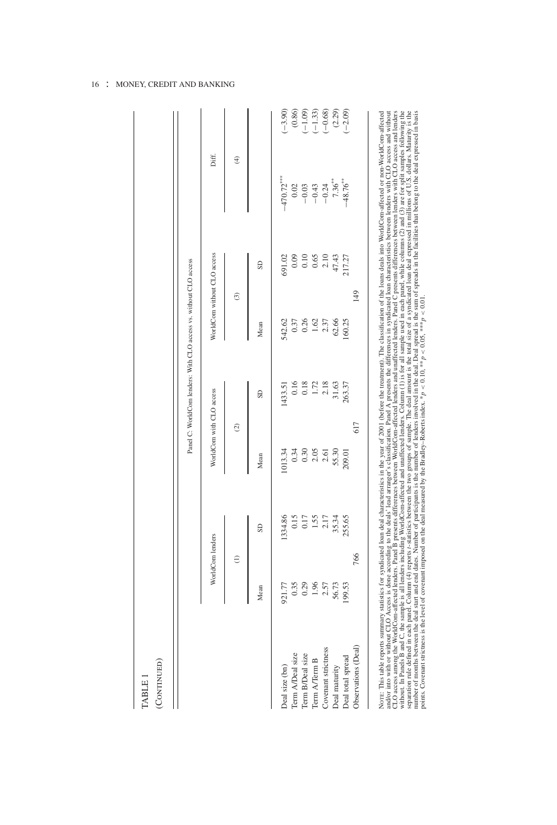|                     |                        |                  |                          | Panel C: WorldCom lenders: With CLO access vs. without CLO access |                |                             |                    |           |
|---------------------|------------------------|------------------|--------------------------|-------------------------------------------------------------------|----------------|-----------------------------|--------------------|-----------|
|                     |                        | WorldCom lenders | WorldCom with CLO access |                                                                   |                | WorldCom without CLO access | Diff.              |           |
|                     |                        | $\widehat{z}$    | $\circledcirc$           |                                                                   |                | ි                           | Ð                  |           |
|                     | Mean                   | SD <sub></sub>   | Mean                     | GS                                                                | Mean           | GS                          |                    |           |
| Deal size (bn)      | 921.77                 | 1334.86          | 1013.34                  | 1433.51                                                           | 542.62         | 691.02                      | $-470.72***$       | $(-3.90)$ |
| Term A/Deal size    | 0.35                   | 0.15             | 0.34                     | 0.16                                                              | 0.37           | 0.09                        | 0.02               | (0.86)    |
| Term B/Deal size    |                        | 0.17             | 0.30                     | 0.18                                                              | $0.26$<br>1.62 | 0.10                        | $-0.03$<br>$-0.43$ | $(-1.09)$ |
| Term A/Term B       | $0.29$<br>1.96<br>2.57 | $1.55$<br>2.17   | 2.05                     | 1.72                                                              |                | 0.65                        |                    | $(-1.33)$ |
| Covenant strictness |                        |                  | 2.61                     | 2.18                                                              | 2.37           | 2.10                        | $-0.24$            | $(-0.68)$ |
| Deal maturity       | 56.73                  | 35.34            | 55.30                    | 31.63                                                             | 62.66          | 47.43                       | $7.36***$          | (2.29)    |
| Deal total spread   | 199.53                 | 255.65           | 209.01                   | 263.37                                                            | 160.25         | 217.27                      | $-48.76***$        | $(-2.09)$ |
| Observations (Deal) |                        | 766              | 617                      |                                                                   |                | 149                         |                    |           |

CLO accuration the MCriteCom-attenda lenders. Fand is provents of means words on alternation is for all section these, in and to present a transmission of particle and the section of the section of the section of the sect CLO access among the WorldCom-affected lenders. Panel B presents differences between WorldCom-affected lenders and unaffected lenders. Panel C presents differences between lenders with CLO access and lenders without. In Panels B and C, the sample is all lenders including WorldCom-affected and unaffected lenders. Column (1) is for all sample used in each panel, while columns (2) and (3) are for split samples following the eparation rule defined in each panel. Column (4) reports t-statistics between the two groups of sample. The deal amount is the total size of a syndicated loan deal expressed in millions of U.S. dollars. Maturity is the number of months between the deal start and end dates. Number of participants is the number of lenders involved in the deal. Deal spread is the sum of spreads in the facilities that belong to the deal expressed in basis points. Covenant strictness is the level of covenant imposed on the deal measured by the Bradley–Roberts index. \**p* < 0.10, \*\**p* < 0.05, \*\*\**p* < 0.01.

## 16 : MONEY, CREDIT AND BANKING

TABLE 1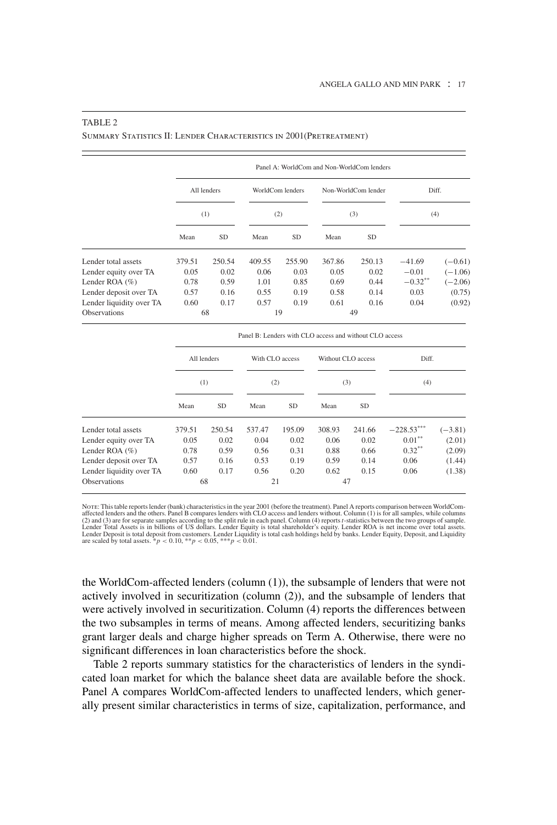## Panel A: WorldCom and Non-WorldCom lenders All lenders WorldCom lenders Non-WorldCom lender Diff. (1)  $(2)$   $(3)$   $(4)$ Mean SD Mean SD Mean SD Lender total assets 379.51 250.54 409.55 255.90 367.86 250.13 −41.69 (−0.61) Lender equity over TA 0.05 0.02 0.06 0.03 0.05 0.02 −0.01 (−1.06)<br>Lender ROA (%) 0.78 0.59 1.01 0.85 0.69 0.44 −0.32<sup>\*\*</sup> (−2.06) Lender ROA (%) 0.78 0.59 1.01 0.85 0.69 0.44  $-0.32^{**}$  (-2.06)

#### TABLE 2

Summary Statistics II: Lender Characteristics in 2001(Pretreatment)

| Observations             |        | 68          |                                                         | 19              |        | 49                 |              |           |
|--------------------------|--------|-------------|---------------------------------------------------------|-----------------|--------|--------------------|--------------|-----------|
|                          |        |             | Panel B: Lenders with CLO access and without CLO access |                 |        |                    |              |           |
|                          |        | All lenders |                                                         | With CLO access |        | Without CLO access | Diff.        |           |
|                          |        | (1)         |                                                         | (2)             |        | (3)                | (4)          |           |
|                          | Mean   | <b>SD</b>   | Mean                                                    | <b>SD</b>       | Mean   | <b>SD</b>          |              |           |
| Lender total assets      | 379.51 | 250.54      | 537.47                                                  | 195.09          | 308.93 | 241.66             | $-228.53***$ | $(-3.81)$ |
| Lender equity over TA    | 0.05   | 0.02        | 0.04                                                    | 0.02            | 0.06   | 0.02               | $0.01***$    | (2.01)    |
| Lender ROA $(\%)$        | 0.78   | 0.59        | 0.56                                                    | 0.31            | 0.88   | 0.66               | $0.32***$    | (2.09)    |
| Lender deposit over TA   | 0.57   | 0.16        | 0.53                                                    | 0.19            | 0.59   | 0.14               | 0.06         | (1.44)    |
| Lender liquidity over TA | 0.60   | 0.17        | 0.56                                                    | 0.20            | 0.62   | 0.15               | 0.06         | (1.38)    |
| <b>Observations</b>      |        | 68          | 21                                                      |                 |        | 47                 |              |           |

Lender deposit over TA 0.57 0.16 0.55 0.19 0.58 0.14 0.03 (0.75) Lender liquidity over TA  $0.60$   $0.17$   $0.57$   $0.19$   $0.61$   $0.16$   $0.04$   $(0.92)$ <br>Observations

Note: This table reports lender (bank) characteristics in the year 2001 (before the treatment). Panel A reports comparison between WorldComaffected lenders and the others. Panel B compares lenders with CLO access and lenders without. Column (1) is for all samples, while columns (2) and (3) are for separate samples according to the split rule in each panel. Co

the WorldCom-affected lenders (column (1)), the subsample of lenders that were not actively involved in securitization (column (2)), and the subsample of lenders that were actively involved in securitization. Column (4) reports the differences between the two subsamples in terms of means. Among affected lenders, securitizing banks grant larger deals and charge higher spreads on Term A. Otherwise, there were no significant differences in loan characteristics before the shock.

Table 2 reports summary statistics for the characteristics of lenders in the syndicated loan market for which the balance sheet data are available before the shock. Panel A compares WorldCom-affected lenders to unaffected lenders, which generally present similar characteristics in terms of size, capitalization, performance, and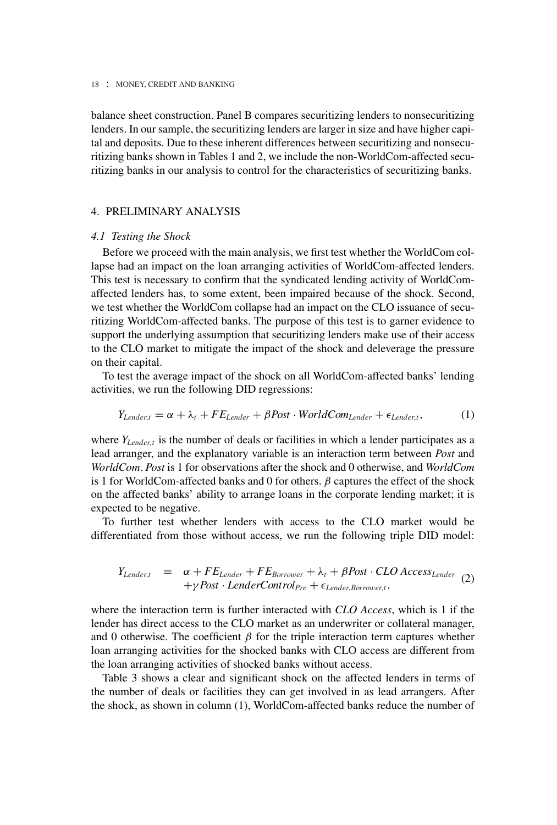balance sheet construction. Panel B compares securitizing lenders to nonsecuritizing lenders. In our sample, the securitizing lenders are larger in size and have higher capital and deposits. Due to these inherent differences between securitizing and nonsecuritizing banks shown in Tables 1 and 2, we include the non-WorldCom-affected securitizing banks in our analysis to control for the characteristics of securitizing banks.

## 4. PRELIMINARY ANALYSIS

## *4.1 Testing the Shock*

Before we proceed with the main analysis, we first test whether the WorldCom collapse had an impact on the loan arranging activities of WorldCom-affected lenders. This test is necessary to confirm that the syndicated lending activity of WorldComaffected lenders has, to some extent, been impaired because of the shock. Second, we test whether the WorldCom collapse had an impact on the CLO issuance of securitizing WorldCom-affected banks. The purpose of this test is to garner evidence to support the underlying assumption that securitizing lenders make use of their access to the CLO market to mitigate the impact of the shock and deleverage the pressure on their capital.

To test the average impact of the shock on all WorldCom-affected banks' lending activities, we run the following DID regressions:

$$
Y_{Lender, t} = \alpha + \lambda_t + FE_{Lender} + \beta Post \cdot WorldCom_{Lender} + \epsilon_{Lender, t}, \qquad (1)
$$

where *Y*<sub>Lender,t</sub> is the number of deals or facilities in which a lender participates as a lead arranger, and the explanatory variable is an interaction term between *Post* and *WorldCom*. *Post* is 1 for observations after the shock and 0 otherwise, and *WorldCom* is 1 for WorldCom-affected banks and 0 for others.  $\beta$  captures the effect of the shock on the affected banks' ability to arrange loans in the corporate lending market; it is expected to be negative.

To further test whether lenders with access to the CLO market would be differentiated from those without access, we run the following triple DID model:

$$
Y_{Lender, t} = \alpha + FE_{Lender} + FE_{Borrower} + \lambda_t + \beta Post \cdot CLO Access_{Lender} \quad (2)
$$
  
+ $\gamma Post \cdot LenderControl_{Pre} + \epsilon_{Lender, Borrower, t},$ 

where the interaction term is further interacted with *CLO Access*, which is 1 if the lender has direct access to the CLO market as an underwriter or collateral manager, and 0 otherwise. The coefficient  $\beta$  for the triple interaction term captures whether loan arranging activities for the shocked banks with CLO access are different from the loan arranging activities of shocked banks without access.

Table 3 shows a clear and significant shock on the affected lenders in terms of the number of deals or facilities they can get involved in as lead arrangers. After the shock, as shown in column (1), WorldCom-affected banks reduce the number of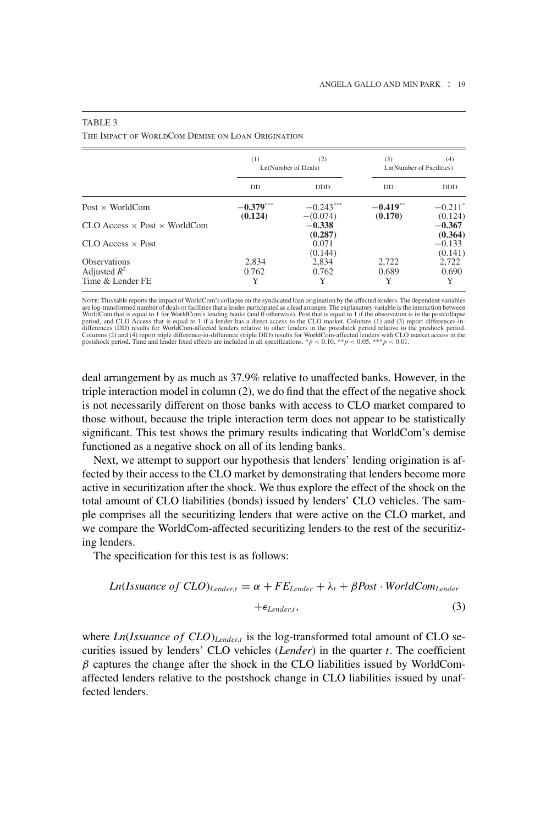|                                              | (1)                    | (2)<br>Ln(Number of Deals) | (3)<br>Ln(Number of Facilities) | (4)                  |
|----------------------------------------------|------------------------|----------------------------|---------------------------------|----------------------|
|                                              | DD                     | <b>DDD</b>                 | <b>DD</b>                       | <b>DDD</b>           |
| Post $\times$ WorldCom                       | $-0.379***$<br>(0.124) | $-0.243***$<br>$-(0.074)$  | $-0.419**$<br>(0.170)           | $-0.211*$<br>(0.124) |
| $CLO$ Access $\times$ Post $\times$ WorldCom |                        | $-0.338$<br>(0.287)        |                                 | $-0.367$<br>(0.364)  |
| $CLO$ Access $\times$ Post                   |                        | 0.071<br>(0.144)           |                                 | $-0.133$<br>(0.141)  |
| <b>Observations</b>                          | 2,834                  | 2,834                      | 2,722                           | 2,722                |
| Adjusted $R^2$                               | 0.762                  | 0.762                      | 0.689                           | 0.690                |
| Time & Lender FE                             | Y                      |                            | Y                               | Y                    |

#### TABLE 3

The Impact of WorldCom Demise on Loan Origination

Norre: This table reports the impact of WorldCom's collapse on the syndicated loan origination by the affected lenders. The dependent variables<br>are log-transformed number of deals or facilities that a lender participated a

deal arrangement by as much as 37.9% relative to unaffected banks. However, in the triple interaction model in column (2), we do find that the effect of the negative shock is not necessarily different on those banks with access to CLO market compared to those without, because the triple interaction term does not appear to be statistically significant. This test shows the primary results indicating that WorldCom's demise functioned as a negative shock on all of its lending banks.

Next, we attempt to support our hypothesis that lenders' lending origination is affected by their access to the CLO market by demonstrating that lenders become more active in securitization after the shock. We thus explore the effect of the shock on the total amount of CLO liabilities (bonds) issued by lenders' CLO vehicles. The sample comprises all the securitizing lenders that were active on the CLO market, and we compare the WorldCom-affected securitizing lenders to the rest of the securitizing lenders.

The specification for this test is as follows:

Ln(*Issuance of CLO*)<sub>Lender,t</sub> = 
$$
\alpha + FE_{Lender} + \lambda_t + \beta Post \cdot WorldCom_{Lender}
$$
  
+ $\epsilon_{Lender,t}$ , (3)

where *Ln*(*Issuance of CLO*)<sub>*Lendert*</sub> is the log-transformed total amount of CLO securities issued by lenders' CLO vehicles (*Lender*) in the quarter *t*. The coefficient  $\beta$  captures the change after the shock in the CLO liabilities issued by WorldComaffected lenders relative to the postshock change in CLO liabilities issued by unaffected lenders.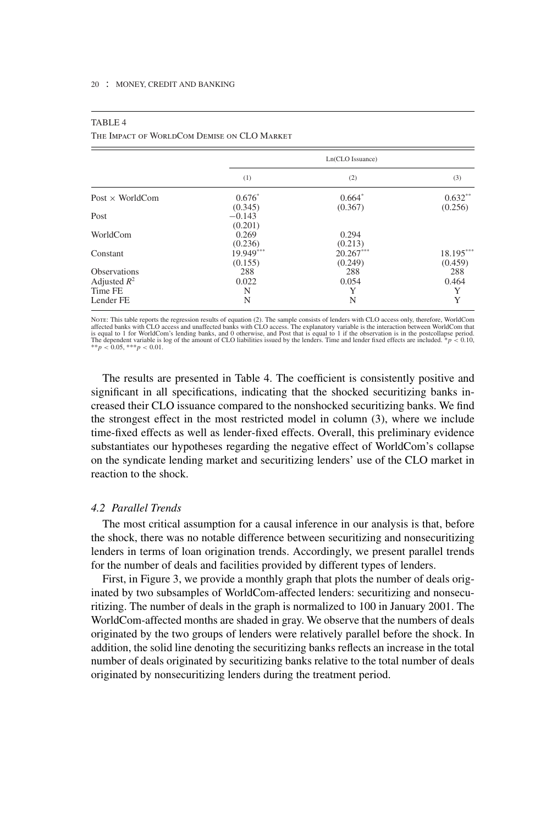|--|--|

The Impact of WorldCom Demise on CLO Market

|                        |                      | Ln(CLO Issuance)       |                      |
|------------------------|----------------------|------------------------|----------------------|
|                        | (1)                  | (2)                    | (3)                  |
| Post $\times$ WorldCom | $0.676*$<br>(0.345)  | $0.664*$<br>(0.367)    | $0.632**$<br>(0.256) |
| Post                   | $-0.143$<br>(0.201)  |                        |                      |
| WorldCom               | 0.269<br>(0.236)     | 0.294<br>(0.213)       |                      |
| Constant               | 19.949***<br>(0.155) | $20.267***$<br>(0.249) | 18.195***<br>(0.459) |
| <b>Observations</b>    | 288                  | 288                    | 288                  |
| Adjusted $R^2$         | 0.022                | 0.054                  | 0.464                |
| Time FE                | N                    | Y                      | Y                    |
| Lender FE              | N                    | N                      | Y                    |

Norn: This table reports the regression results of equation (2). The sample consists of lenders with CLO access only, therefore, WorldCom<br>affected banks with CLO access and unaffected banks with CLO access. The explanator

The results are presented in Table 4. The coefficient is consistently positive and significant in all specifications, indicating that the shocked securitizing banks increased their CLO issuance compared to the nonshocked securitizing banks. We find the strongest effect in the most restricted model in column (3), where we include time-fixed effects as well as lender-fixed effects. Overall, this preliminary evidence substantiates our hypotheses regarding the negative effect of WorldCom's collapse on the syndicate lending market and securitizing lenders' use of the CLO market in reaction to the shock.

## *4.2 Parallel Trends*

The most critical assumption for a causal inference in our analysis is that, before the shock, there was no notable difference between securitizing and nonsecuritizing lenders in terms of loan origination trends. Accordingly, we present parallel trends for the number of deals and facilities provided by different types of lenders.

First, in Figure 3, we provide a monthly graph that plots the number of deals originated by two subsamples of WorldCom-affected lenders: securitizing and nonsecuritizing. The number of deals in the graph is normalized to 100 in January 2001. The WorldCom-affected months are shaded in gray. We observe that the numbers of deals originated by the two groups of lenders were relatively parallel before the shock. In addition, the solid line denoting the securitizing banks reflects an increase in the total number of deals originated by securitizing banks relative to the total number of deals originated by nonsecuritizing lenders during the treatment period.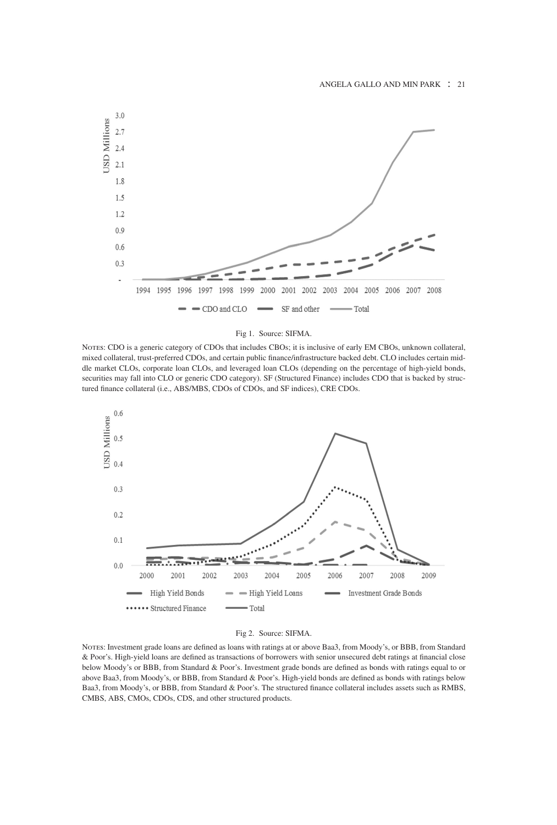

#### Fig 1. Source: SIFMA.

NOTES: CDO is a generic category of CDOs that includes CBOs; it is inclusive of early EM CBOs, unknown collateral, mixed collateral, trust-preferred CDOs, and certain public finance/infrastructure backed debt. CLO includes certain middle market CLOs, corporate loan CLOs, and leveraged loan CLOs (depending on the percentage of high-yield bonds, securities may fall into CLO or generic CDO category). SF (Structured Finance) includes CDO that is backed by structured finance collateral (i.e., ABS/MBS, CDOs of CDOs, and SF indices), CRE CDOs.



#### Fig 2. Source: SIFMA.

Notes: Investment grade loans are defined as loans with ratings at or above Baa3, from Moody's, or BBB, from Standard & Poor's. High-yield loans are defined as transactions of borrowers with senior unsecured debt ratings at financial close below Moody's or BBB, from Standard & Poor's. Investment grade bonds are defined as bonds with ratings equal to or above Baa3, from Moody's, or BBB, from Standard & Poor's. High-yield bonds are defined as bonds with ratings below Baa3, from Moody's, or BBB, from Standard & Poor's. The structured finance collateral includes assets such as RMBS, CMBS, ABS, CMOs, CDOs, CDS, and other structured products.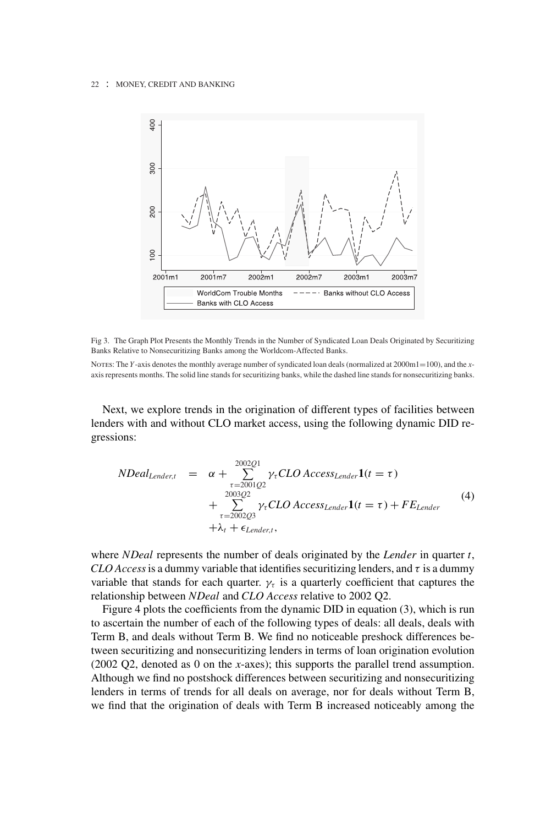

Fig 3. The Graph Plot Presents the Monthly Trends in the Number of Syndicated Loan Deals Originated by Securitizing Banks Relative to Nonsecuritizing Banks among the Worldcom-Affected Banks.

NOTES: The *Y*-axis denotes the monthly average number of syndicated loan deals (normalized at 2000m1=100), and the *x*axis represents months. The solid line stands for securitizing banks, while the dashed line stands for nonsecuritizing banks.

Next, we explore trends in the origination of different types of facilities between lenders with and without CLO market access, using the following dynamic DID regressions:

$$
NDealLender, t = \alpha + \sum_{\tau=2001Q2}^{2002Q1} \gamma_{\tau} CLO AccessLender1(t = \tau)
$$
  
+ 
$$
\sum_{\tau=2002Q3}^{2003Q2} \gamma_{\tau} CLO AccessLender1(t = \tau) + FELender
$$
  
+ 
$$
\lambda_{t} + \epsilon_{Lender, t},
$$
 (4)

where *NDeal* represents the number of deals originated by the *Lender* in quarter *t*, *CLO Access* is a dummy variable that identifies securitizing lenders, and  $\tau$  is a dummy variable that stands for each quarter.  $\gamma_{\tau}$  is a quarterly coefficient that captures the relationship between *NDeal* and *CLO Access* relative to 2002 Q2.

Figure 4 plots the coefficients from the dynamic DID in equation (3), which is run to ascertain the number of each of the following types of deals: all deals, deals with Term B, and deals without Term B. We find no noticeable preshock differences between securitizing and nonsecuritizing lenders in terms of loan origination evolution (2002 Q2, denoted as 0 on the *x*-axes); this supports the parallel trend assumption. Although we find no postshock differences between securitizing and nonsecuritizing lenders in terms of trends for all deals on average, nor for deals without Term B, we find that the origination of deals with Term B increased noticeably among the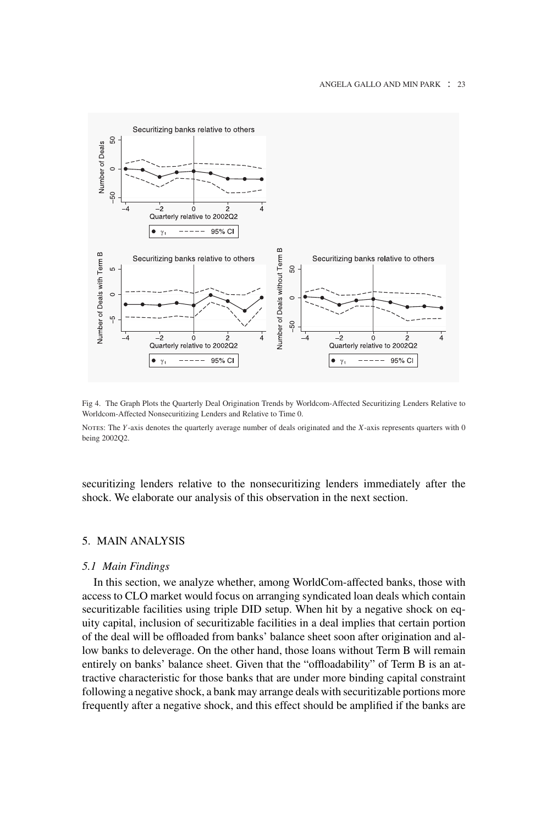#### ANGELA GALLO AND MIN PARK : 23



Fig 4. The Graph Plots the Quarterly Deal Origination Trends by Worldcom-Affected Securitizing Lenders Relative to Worldcom-Affected Nonsecuritizing Lenders and Relative to Time 0.

Notes: The *Y*-axis denotes the quarterly average number of deals originated and the *X*-axis represents quarters with 0 being 2002Q2.

securitizing lenders relative to the nonsecuritizing lenders immediately after the shock. We elaborate our analysis of this observation in the next section.

## 5. MAIN ANALYSIS

## *5.1 Main Findings*

In this section, we analyze whether, among WorldCom-affected banks, those with access to CLO market would focus on arranging syndicated loan deals which contain securitizable facilities using triple DID setup. When hit by a negative shock on equity capital, inclusion of securitizable facilities in a deal implies that certain portion of the deal will be offloaded from banks' balance sheet soon after origination and allow banks to deleverage. On the other hand, those loans without Term B will remain entirely on banks' balance sheet. Given that the "offloadability" of Term B is an attractive characteristic for those banks that are under more binding capital constraint following a negative shock, a bank may arrange deals with securitizable portions more frequently after a negative shock, and this effect should be amplified if the banks are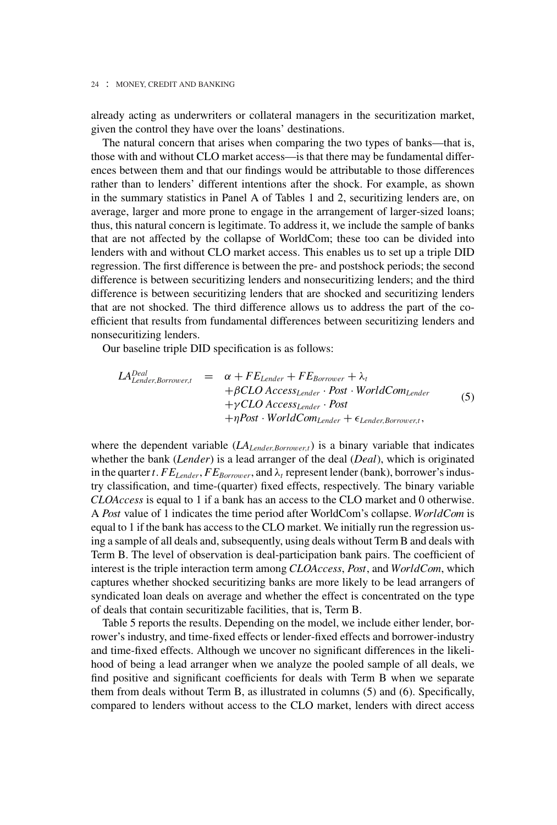already acting as underwriters or collateral managers in the securitization market, given the control they have over the loans' destinations.

The natural concern that arises when comparing the two types of banks—that is, those with and without CLO market access—is that there may be fundamental differences between them and that our findings would be attributable to those differences rather than to lenders' different intentions after the shock. For example, as shown in the summary statistics in Panel A of Tables 1 and 2, securitizing lenders are, on average, larger and more prone to engage in the arrangement of larger-sized loans; thus, this natural concern is legitimate. To address it, we include the sample of banks that are not affected by the collapse of WorldCom; these too can be divided into lenders with and without CLO market access. This enables us to set up a triple DID regression. The first difference is between the pre- and postshock periods; the second difference is between securitizing lenders and nonsecuritizing lenders; and the third difference is between securitizing lenders that are shocked and securitizing lenders that are not shocked. The third difference allows us to address the part of the coefficient that results from fundamental differences between securitizing lenders and nonsecuritizing lenders.

Our baseline triple DID specification is as follows:

$$
LALender, Borrower, t = \alpha + FELender + FEBorrower + \lambdat+ \beta CLO AccessLender · Post · WorldComLender+ \gamma CLO AccessLender · Post+ \eta Post · WorldComLender + \epsilonLender. Borrower, t, (5)
$$

where the dependent variable (*LALender*,*Borrower*,*<sup>t</sup>*) is a binary variable that indicates whether the bank (*Lender*) is a lead arranger of the deal (*Deal*), which is originated in the quarter *t*.  $FE_{Lender}$ ,  $FE_{Borrower}$ , and  $\lambda_t$  represent lender (bank), borrower's industry classification, and time-(quarter) fixed effects, respectively. The binary variable *CLOAccess* is equal to 1 if a bank has an access to the CLO market and 0 otherwise. A *Post* value of 1 indicates the time period after WorldCom's collapse. *WorldCom* is equal to 1 if the bank has access to the CLO market. We initially run the regression using a sample of all deals and, subsequently, using deals without Term B and deals with Term B. The level of observation is deal-participation bank pairs. The coefficient of interest is the triple interaction term among *CLOAccess*, *Post*, and *WorldCom*, which captures whether shocked securitizing banks are more likely to be lead arrangers of syndicated loan deals on average and whether the effect is concentrated on the type of deals that contain securitizable facilities, that is, Term B.

Table 5 reports the results. Depending on the model, we include either lender, borrower's industry, and time-fixed effects or lender-fixed effects and borrower-industry and time-fixed effects. Although we uncover no significant differences in the likelihood of being a lead arranger when we analyze the pooled sample of all deals, we find positive and significant coefficients for deals with Term B when we separate them from deals without Term B, as illustrated in columns (5) and (6). Specifically, compared to lenders without access to the CLO market, lenders with direct access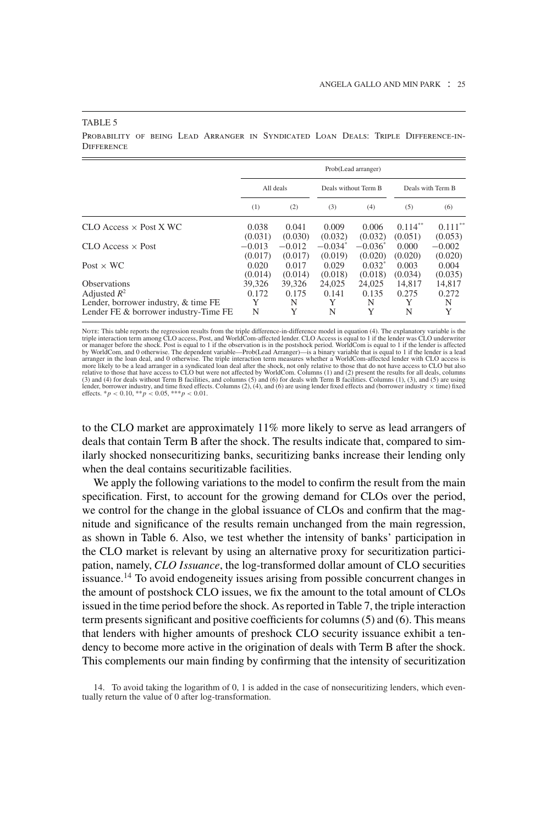#### TABLE 5

Probability of being Lead Arranger in Syndicated Loan Deals: Triple Difference-in-**DIFFERENCE** 

|                                       |          |           |           | Prob(Lead arranger)  |            |                   |
|---------------------------------------|----------|-----------|-----------|----------------------|------------|-------------------|
|                                       |          | All deals |           | Deals without Term B |            | Deals with Term B |
|                                       | (1)      | (2)       | (3)       | (4)                  | (5)        | (6)               |
| $CLO$ Access $\times$ Post X WC       | 0.038    | 0.041     | 0.009     | 0.006                | $0.114***$ | $0.111***$        |
|                                       | (0.031)  | (0.030)   | (0.032)   | (0.032)              | (0.051)    | (0.053)           |
| $CLO$ Access $\times$ Post            | $-0.013$ | $-0.012$  | $-0.034*$ | $-0.036^*$           | 0.000      | $-0.002$          |
|                                       | (0.017)  | (0.017)   | (0.019)   | (0.020)              | (0.020)    | (0.020)           |
| Post $\times$ WC                      | 0.020    | 0.017     | 0.029     | $0.032^*$            | 0.003      | 0.004             |
|                                       | (0.014)  | (0.014)   | (0.018)   | (0.018)              | (0.034)    | (0.035)           |
| <b>Observations</b>                   | 39.326   | 39.326    | 24,025    | 24,025               | 14.817     | 14,817            |
| Adjusted $R^2$                        | 0.172    | 0.175     | 0.141     | 0.135                | 0.275      | 0.272             |
| Lender, borrower industry, & time FE  | Y        | N         | Y         | N                    | Y          | N                 |
| Lender FE & borrower industry-Time FE | N        | Y         | N         | Y                    | N          | Y                 |

Nor<br/>E: This table reports the regression results from the triple difference -in-difference model in equation (4). The explanatory variable is the<br>priple interaction term among CLO access, Post, and WorldCom-affected l

to the CLO market are approximately 11% more likely to serve as lead arrangers of deals that contain Term B after the shock. The results indicate that, compared to similarly shocked nonsecuritizing banks, securitizing banks increase their lending only when the deal contains securitizable facilities.

We apply the following variations to the model to confirm the result from the main specification. First, to account for the growing demand for CLOs over the period, we control for the change in the global issuance of CLOs and confirm that the magnitude and significance of the results remain unchanged from the main regression, as shown in Table 6. Also, we test whether the intensity of banks' participation in the CLO market is relevant by using an alternative proxy for securitization participation, namely, *CLO Issuance*, the log-transformed dollar amount of CLO securities issuance.<sup>14</sup> To avoid endogeneity issues arising from possible concurrent changes in the amount of postshock CLO issues, we fix the amount to the total amount of CLOs issued in the time period before the shock. As reported in Table 7, the triple interaction term presents significant and positive coefficients for columns (5) and (6). This means that lenders with higher amounts of preshock CLO security issuance exhibit a tendency to become more active in the origination of deals with Term B after the shock. This complements our main finding by confirming that the intensity of securitization

14. To avoid taking the logarithm of 0, 1 is added in the case of nonsecuritizing lenders, which eventually return the value of 0 after log-transformation.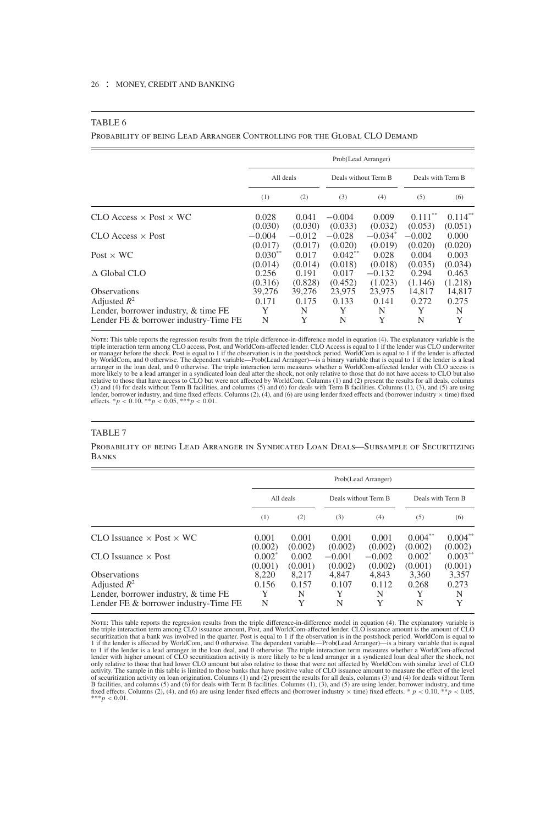#### TABLE 6

Probability of being Lead Arranger Controlling for the Global CLO Demand

|                                        |                      |                     | Prob(Lead Arranger)  |                      |                      |                      |
|----------------------------------------|----------------------|---------------------|----------------------|----------------------|----------------------|----------------------|
|                                        | All deals            |                     | Deals without Term B |                      | Deals with Term B    |                      |
|                                        | (1)                  | (2)                 | (3)                  | (4)                  | (5)                  | (6)                  |
| $CLO$ Access $\times$ Post $\times$ WC | 0.028<br>(0.030)     | 0.041<br>(0.030)    | $-0.004$<br>(0.033)  | 0.009<br>(0.032)     | $0.111**$<br>(0.053) | $0.114**$<br>(0.051) |
| $CLO$ Access $\times$ Post             | $-0.004$<br>(0.017)  | $-0.012$<br>(0.017) | $-0.028$<br>(0.020)  | $-0.034*$<br>(0.019) | $-0.002$<br>(0.020)  | 0.000<br>(0.020)     |
| Post $\times$ WC                       | $0.030**$<br>(0.014) | 0.017<br>(0.014)    | $0.042**$<br>(0.018) | 0.028<br>(0.018)     | 0.004<br>(0.035)     | 0.003<br>(0.034)     |
| $\triangle$ Global CLO                 | 0.256<br>(0.316)     | 0.191<br>(0.828)    | 0.017<br>(0.452)     | $-0.132$<br>(1.023)  | 0.294<br>(1.146)     | 0.463<br>(1.218)     |
| <b>Observations</b>                    | 39,276               | 39,276              | 23,975               | 23,975               | 14,817               | 14,817               |
| Adjusted $R^2$                         | 0.171                | 0.175               | 0.133                | 0.141                | 0.272                | 0.275                |
| Lender, borrower industry, & time FE   | Y                    | N                   | Y                    | N                    | Y                    | N                    |
| Lender FE & borrower industry-Time FE  | N                    | Y                   | N                    | Y                    | N                    | Y                    |

Nore: This table reports the regression results from the triple difference-in-difference model in equation (4). The explanatory variable is the triple interaction term among CLO access, Post, and WorldCom-affected lender. relative to those that have access to CLO but were not affected by WorldCom. Columns (1) and (2) present the results for all deals, columns<br>(3) and (4) for deals without Term B facilities, and columns (5) and (6) for deals lender, borrower industry, and time fixed effects. Columns (2), (4), and (6) are using lender fixed effects and (borrower industry <sup>×</sup> time) fixed effects. \**<sup>p</sup>* <sup>&</sup>lt; <sup>0</sup>.10, \*\**<sup>p</sup>* <sup>&</sup>lt; <sup>0</sup>.05, \*\*\**<sup>p</sup>* <sup>&</sup>lt; <sup>0</sup>.01.

#### TABLE 7

Probability of being Lead Arranger in Syndicated Loan Deals—Subsample of Securitizing Banks

|            |                    |                                 |                    |                                                                   | Deals with Term B     |
|------------|--------------------|---------------------------------|--------------------|-------------------------------------------------------------------|-----------------------|
| (1)        | (2)                | (3)                             | (4)                | (5)                                                               | (6)                   |
| 0.001      | 0.001              | 0.001                           | 0.001              | $0.004**$                                                         | $0.004**$<br>(0.002)  |
| $0.002^*$  | 0.002              | $-0.001$                        | $-0.002$           | $0.002^*$                                                         | $0.003***$<br>(0.001) |
| 8,220      | 8,217              | 4,847                           | 4,843              | 3,360                                                             | 3,357                 |
| 0.156<br>Y | 0.157<br>N         | 0.107                           | 0.112<br>N         | 0.268<br>Y                                                        | 0.273<br>N            |
| N          | Y                  | N                               | Y                  | N                                                                 | Y                     |
|            | (0.002)<br>(0.001) | All deals<br>(0.002)<br>(0.001) | (0.002)<br>(0.002) | Prob(Lead Arranger)<br>Deals without Term B<br>(0.002)<br>(0.002) | (0.002)<br>(0.001)    |

NorE: This table reports the regression results from the triple difference-in-difference model in equation (4). The explanatory variable is<br>the triple interaction term among CLO issuance amount, Post, and WorldCom-affected of securitization activity on loan origination. Columns (1) and (2) present the results for all deals, columns (3) and (4) for deals without Term<br>B facilities, and columns (5) and (6) for deals with Term B facilities. Col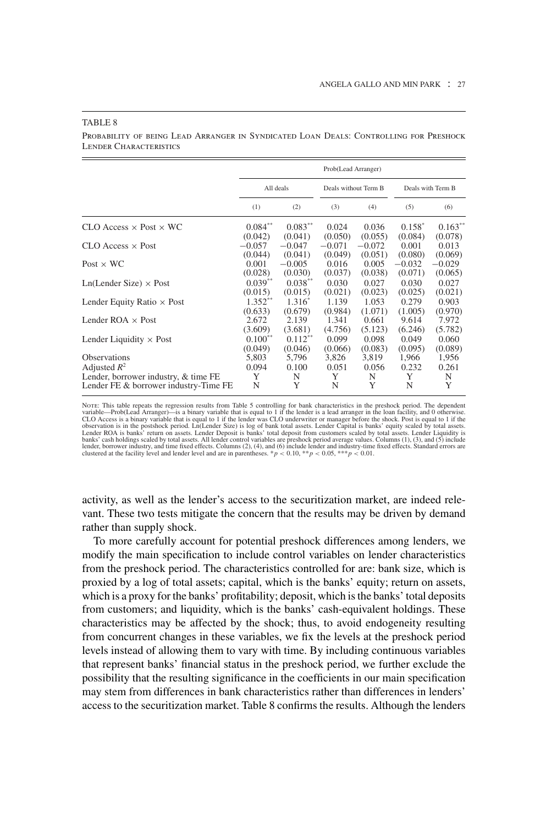|                                        |           |            | Prob(Lead Arranger) |                      |          |                   |
|----------------------------------------|-----------|------------|---------------------|----------------------|----------|-------------------|
|                                        |           | All deals  |                     | Deals without Term B |          | Deals with Term B |
|                                        | (1)       | (2)        | (3)                 | (4)                  | (5)      | (6)               |
| $CLO$ Access $\times$ Post $\times$ WC | $0.084**$ | $0.083**$  | 0.024               | 0.036                | $0.158*$ | $0.163**$         |
| $CLO$ Access $\times$ Post             | (0.042)   | (0.041)    | (0.050)             | (0.055)              | (0.084)  | (0.078)           |
|                                        | $-0.057$  | $-0.047$   | $-0.071$            | $-0.072$             | 0.001    | 0.013             |
| Post $\times$ WC                       | (0.044)   | (0.041)    | (0.049)             | (0.051)              | (0.080)  | (0.069)           |
|                                        | 0.001     | $-0.005$   | 0.016               | 0.005                | $-0.032$ | $-0.029$          |
| $Ln(Lender Size) \times Post$          | (0.028)   | (0.030)    | (0.037)             | (0.038)              | (0.071)  | (0.065)           |
|                                        | $0.039**$ | $0.038***$ | 0.030               | 0.027                | 0.030    | 0.027             |
| Lender Equity Ratio $\times$ Post      | (0.015)   | (0.015)    | (0.021)             | (0.023)              | (0.025)  | (0.021)           |
|                                        | $1.352**$ | $1.316*$   | 1.139               | 1.053                | 0.279    | 0.903             |
| Lender ROA $\times$ Post               | (0.633)   | (0.679)    | (0.984)             | (1.071)              | (1.005)  | (0.970)           |
|                                        | 2.672     | 2.139      | 1.341               | 0.661                | 9.614    | 7.972             |
| Lender Liquidity $\times$ Post         | (3.609)   | (3.681)    | (4.756)             | (5.123)              | (6.246)  | (5.782)           |
|                                        | $0.100**$ | $0.112***$ | 0.099               | 0.098                | 0.049    | 0.060             |
|                                        | (0.049)   | (0.046)    | (0.066)             | (0.083)              | (0.095)  | (0.089)           |
| <b>Observations</b>                    | 5,803     | 5,796      | 3,826               | 3,819                | 1,966    | 1,956             |
| Adjusted $R^2$                         | 0.094     | 0.100      | 0.051               | 0.056                | 0.232    | 0.261             |
| Lender, borrower industry, & time FE   | Y         | N          | Y                   | N                    | Y        | Ν                 |
| Lender FE & borrower industry-Time FE  | N         | Y          | N                   | Y                    | N        | Y                 |

TABLE 8

Probability of being Lead Arranger in Syndicated Loan Deals: Controlling for Preshock Lender Characteristics

Nore: This table repeats the regression results from Table 5 controlling for bank characteristics in the preshock period. The dependent<br>variable—Prob(Lead Arranger)—is a binary variable that is equal to 1 if the lender is observation is in the postshock period. Ln(Lender Size) is log of bank total assets. Lender Capital is banks' equity scaled by total assets.<br>Lender ROA is banks' return on assets. Lender Deposit is banks' total deposit fro clustered at the facility level and lender level and are in parentheses.  $p < 0.10$ ,  $* p < 0.05$ ,  $* * p < 0.01$ .

activity, as well as the lender's access to the securitization market, are indeed relevant. These two tests mitigate the concern that the results may be driven by demand rather than supply shock.

To more carefully account for potential preshock differences among lenders, we modify the main specification to include control variables on lender characteristics from the preshock period. The characteristics controlled for are: bank size, which is proxied by a log of total assets; capital, which is the banks' equity; return on assets, which is a proxy for the banks' profitability; deposit, which is the banks' total deposits from customers; and liquidity, which is the banks' cash-equivalent holdings. These characteristics may be affected by the shock; thus, to avoid endogeneity resulting from concurrent changes in these variables, we fix the levels at the preshock period levels instead of allowing them to vary with time. By including continuous variables that represent banks' financial status in the preshock period, we further exclude the possibility that the resulting significance in the coefficients in our main specification may stem from differences in bank characteristics rather than differences in lenders' access to the securitization market. Table 8 confirms the results. Although the lenders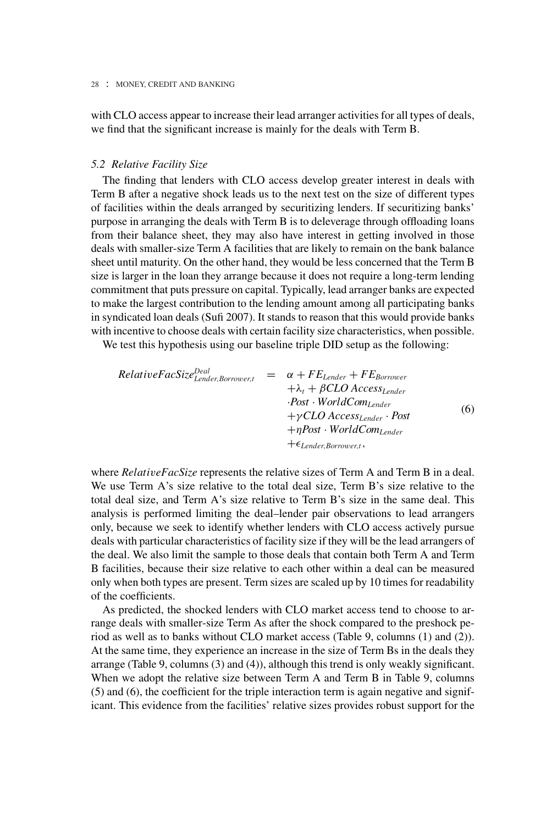with CLO access appear to increase their lead arranger activities for all types of deals, we find that the significant increase is mainly for the deals with Term B.

## *5.2 Relative Facility Size*

The finding that lenders with CLO access develop greater interest in deals with Term B after a negative shock leads us to the next test on the size of different types of facilities within the deals arranged by securitizing lenders. If securitizing banks' purpose in arranging the deals with Term B is to deleverage through offloading loans from their balance sheet, they may also have interest in getting involved in those deals with smaller-size Term A facilities that are likely to remain on the bank balance sheet until maturity. On the other hand, they would be less concerned that the Term B size is larger in the loan they arrange because it does not require a long-term lending commitment that puts pressure on capital. Typically, lead arranger banks are expected to make the largest contribution to the lending amount among all participating banks in syndicated loan deals (Sufi 2007). It stands to reason that this would provide banks with incentive to choose deals with certain facility size characteristics, when possible.

We test this hypothesis using our baseline triple DID setup as the following:

$$
Relative FacSizeLender, Borrower,t = \alpha + FELender + FEBorrower
$$
  
+  $\lambda_t$  +  $\beta$  CLO Access<sub>Lender</sub>  
-Post  $\cdot$  WorldComplex  
+ $\gamma$  CLO Access<sub>Lender</sub>  $\cdot$  Post  
+ $\eta$  Post  $\cdot$  WorldComplex  
+ $\epsilon_{Lender, Borrower,t}$ , (6)

where *RelativeFacSize* represents the relative sizes of Term A and Term B in a deal. We use Term A's size relative to the total deal size, Term B's size relative to the total deal size, and Term A's size relative to Term B's size in the same deal. This analysis is performed limiting the deal–lender pair observations to lead arrangers only, because we seek to identify whether lenders with CLO access actively pursue deals with particular characteristics of facility size if they will be the lead arrangers of the deal. We also limit the sample to those deals that contain both Term A and Term B facilities, because their size relative to each other within a deal can be measured only when both types are present. Term sizes are scaled up by 10 times for readability of the coefficients.

As predicted, the shocked lenders with CLO market access tend to choose to arrange deals with smaller-size Term As after the shock compared to the preshock period as well as to banks without CLO market access (Table 9, columns (1) and (2)). At the same time, they experience an increase in the size of Term Bs in the deals they arrange (Table 9, columns (3) and (4)), although this trend is only weakly significant. When we adopt the relative size between Term A and Term B in Table 9, columns (5) and (6), the coefficient for the triple interaction term is again negative and significant. This evidence from the facilities' relative sizes provides robust support for the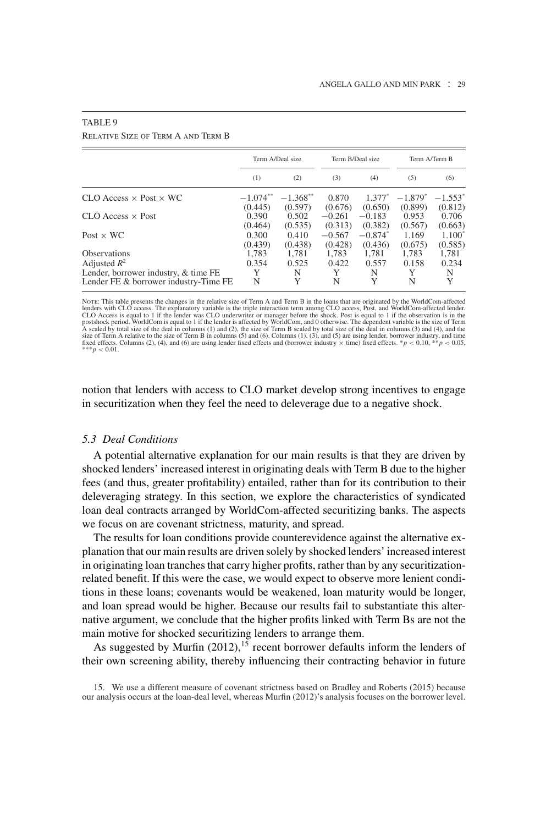|                                        |                  | Term A/Deal size       |                     | Term B/Deal size      |                  | Term A/Term B        |
|----------------------------------------|------------------|------------------------|---------------------|-----------------------|------------------|----------------------|
|                                        | (1)              | (2)                    | (3)                 | (4)                   | (5)              | (6)                  |
| $CLO$ Access $\times$ Post $\times$ WC | $-1.074**$       | $-1.368$ <sup>**</sup> | 0.870               | $1.377*$              | $-1.879*$        | $-1.553^*$           |
| $CLO$ Access $\times$ Post             | (0.445)<br>0.390 | (0.597)<br>0.502       | (0.676)<br>$-0.261$ | (0.650)<br>$-0.183$   | (0.899)<br>0.953 | (0.812)<br>0.706     |
| Post $\times$ WC                       | (0.464)<br>0.300 | (0.535)<br>0.410       | (0.313)<br>$-0.567$ | (0.382)<br>$-0.874^*$ | (0.567)<br>1.169 | (0.663)<br>$1.100^*$ |
| <b>Observations</b>                    | (0.439)<br>1,783 | (0.438)<br>1.781       | (0.428)<br>1.783    | (0.436)<br>1,781      | (0.675)<br>1,783 | (0.585)<br>1,781     |
| Adjusted $R^2$                         | 0.354            | 0.525                  | 0.422               | 0.557                 | 0.158            | 0.234                |
| Lender, borrower industry, & time FE   | Y                | N                      | Y                   | N                     | Y                | N                    |
| Lender FE & borrower industry-Time FE  | N                | Y                      | N                   | Y                     | N                | Y                    |

## TABLE 9

Relative Size of Term A and Term B

NorE: This table presents the changes in the relative size of Term A and Term B in the loans that are originated by the WorldCom-affected<br>lenders with CLO access. The explanatory variable is the triple interaction term amo fixed effects. Columns (2), (4), and (6) are using lender fixed effects and (borrower industry  $\times$  time) fixed effects. \**p* < 0.10, \*\**p* < 0.05,  $\frac{m}{p}$  < 0.01.

notion that lenders with access to CLO market develop strong incentives to engage in securitization when they feel the need to deleverage due to a negative shock.

## *5.3 Deal Conditions*

A potential alternative explanation for our main results is that they are driven by shocked lenders' increased interest in originating deals with Term B due to the higher fees (and thus, greater profitability) entailed, rather than for its contribution to their deleveraging strategy. In this section, we explore the characteristics of syndicated loan deal contracts arranged by WorldCom-affected securitizing banks. The aspects we focus on are covenant strictness, maturity, and spread.

The results for loan conditions provide counterevidence against the alternative explanation that our main results are driven solely by shocked lenders' increased interest in originating loan tranches that carry higher profits, rather than by any securitizationrelated benefit. If this were the case, we would expect to observe more lenient conditions in these loans; covenants would be weakened, loan maturity would be longer, and loan spread would be higher. Because our results fail to substantiate this alternative argument, we conclude that the higher profits linked with Term Bs are not the main motive for shocked securitizing lenders to arrange them.

As suggested by Murfin  $(2012)$ ,<sup>15</sup> recent borrower defaults inform the lenders of their own screening ability, thereby influencing their contracting behavior in future

<sup>15.</sup> We use a different measure of covenant strictness based on Bradley and Roberts (2015) because our analysis occurs at the loan-deal level, whereas Murfin (2012)'s analysis focuses on the borrower level.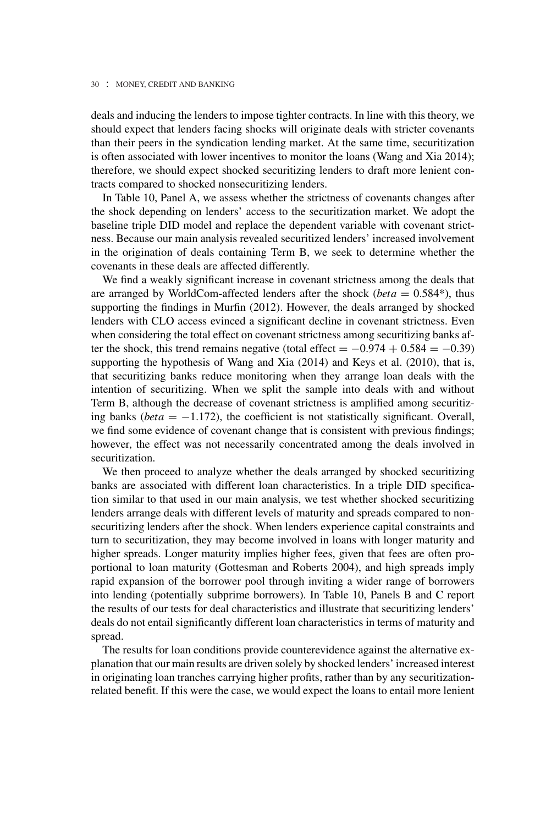deals and inducing the lenders to impose tighter contracts. In line with this theory, we should expect that lenders facing shocks will originate deals with stricter covenants than their peers in the syndication lending market. At the same time, securitization is often associated with lower incentives to monitor the loans (Wang and Xia 2014); therefore, we should expect shocked securitizing lenders to draft more lenient contracts compared to shocked nonsecuritizing lenders.

In Table 10, Panel A, we assess whether the strictness of covenants changes after the shock depending on lenders' access to the securitization market. We adopt the baseline triple DID model and replace the dependent variable with covenant strictness. Because our main analysis revealed securitized lenders' increased involvement in the origination of deals containing Term B, we seek to determine whether the covenants in these deals are affected differently.

We find a weakly significant increase in covenant strictness among the deals that are arranged by WorldCom-affected lenders after the shock ( $beta = 0.584$ <sup>\*</sup>), thus supporting the findings in Murfin (2012). However, the deals arranged by shocked lenders with CLO access evinced a significant decline in covenant strictness. Even when considering the total effect on covenant strictness among securitizing banks after the shock, this trend remains negative (total effect =  $-0.974 + 0.584 = -0.39$ ) supporting the hypothesis of Wang and Xia (2014) and Keys et al. (2010), that is, that securitizing banks reduce monitoring when they arrange loan deals with the intention of securitizing. When we split the sample into deals with and without Term B, although the decrease of covenant strictness is amplified among securitizing banks ( $beta = -1.172$ ), the coefficient is not statistically significant. Overall, we find some evidence of covenant change that is consistent with previous findings; however, the effect was not necessarily concentrated among the deals involved in securitization.

We then proceed to analyze whether the deals arranged by shocked securitizing banks are associated with different loan characteristics. In a triple DID specification similar to that used in our main analysis, we test whether shocked securitizing lenders arrange deals with different levels of maturity and spreads compared to nonsecuritizing lenders after the shock. When lenders experience capital constraints and turn to securitization, they may become involved in loans with longer maturity and higher spreads. Longer maturity implies higher fees, given that fees are often proportional to loan maturity (Gottesman and Roberts 2004), and high spreads imply rapid expansion of the borrower pool through inviting a wider range of borrowers into lending (potentially subprime borrowers). In Table 10, Panels B and C report the results of our tests for deal characteristics and illustrate that securitizing lenders' deals do not entail significantly different loan characteristics in terms of maturity and spread.

The results for loan conditions provide counterevidence against the alternative explanation that our main results are driven solely by shocked lenders' increased interest in originating loan tranches carrying higher profits, rather than by any securitizationrelated benefit. If this were the case, we would expect the loans to entail more lenient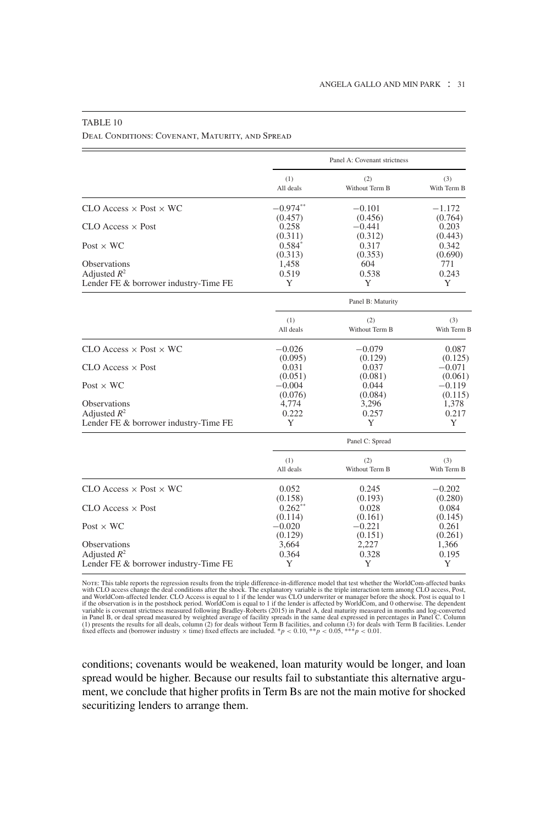|                                        | Panel A: Covenant strictness |                   |             |  |  |
|----------------------------------------|------------------------------|-------------------|-------------|--|--|
|                                        | (1)                          | (2)               | (3)         |  |  |
|                                        | All deals                    | Without Term B    | With Term B |  |  |
| $CLO$ Access $\times$ Post $\times$ WC | $-0.974**$                   | $-0.101$          | $-1.172$    |  |  |
|                                        | (0.457)                      | (0.456)           | (0.764)     |  |  |
| $CLO$ Access $\times$ Post             | 0.258                        | $-0.441$          | 0.203       |  |  |
|                                        | (0.311)                      | (0.312)           | (0.443)     |  |  |
| Post $\times$ WC                       | $0.584*$                     | 0.317             | 0.342       |  |  |
|                                        | (0.313)                      | (0.353)           | (0.690)     |  |  |
| <b>Observations</b>                    | 1,458                        | 604               | 771         |  |  |
| Adjusted $R^2$                         | 0.519                        | 0.538             | 0.243       |  |  |
| Lender FE & borrower industry-Time FE  | Y                            | Y                 | Y           |  |  |
|                                        |                              | Panel B: Maturity |             |  |  |
|                                        | (1)                          | (2)               | (3)         |  |  |
|                                        | All deals                    | Without Term B    | With Term B |  |  |
| $CLO$ Access $\times$ Post $\times$ WC | $-0.026$                     | $-0.079$          | 0.087       |  |  |
|                                        | (0.095)                      | (0.129)           | (0.125)     |  |  |
| $CLO$ Access $\times$ Post             | 0.031                        | 0.037             | $-0.071$    |  |  |
|                                        | (0.051)                      | (0.081)           | (0.061)     |  |  |
| Post $\times$ WC                       | $-0.004$                     | 0.044             | $-0.119$    |  |  |
|                                        | (0.076)                      | (0.084)           | (0.115)     |  |  |
| <b>Observations</b>                    | 4,774                        | 3,296             | 1,378       |  |  |
| Adjusted $R^2$                         | 0.222                        | 0.257             | 0.217       |  |  |
| Lender FE & borrower industry-Time FE  | Y                            | Y                 | Y           |  |  |
|                                        |                              | Panel C: Spread   |             |  |  |
|                                        | (1)                          | (2)               | (3)         |  |  |
|                                        | All deals                    | Without Term B    | With Term B |  |  |
| $CLO$ Access $\times$ Post $\times$ WC | 0.052                        | 0.245             | $-0.202$    |  |  |
|                                        | (0.158)                      | (0.193)           | (0.280)     |  |  |
| $CLO$ Access $\times$ Post             | $0.262**$                    | 0.028             | 0.084       |  |  |
|                                        | (0.114)                      | (0.161)           | (0.145)     |  |  |
| $Post \times WC$                       | $-0.020$                     | $-0.221$          | 0.261       |  |  |
|                                        | (0.129)                      | (0.151)           | (0.261)     |  |  |
| <b>Observations</b>                    | 3,664                        | 2,227             | 1,366       |  |  |
| Adjusted $R^2$                         | 0.364                        | 0.328             | 0.195       |  |  |
| Lender FE & borrower industry-Time FE  | Y                            | Y                 | Y           |  |  |

## TABLE 10

Deal Conditions: Covenant, Maturity, and Spread

Note: This table reports the regression results from the triple difference-in-difference model that test whether the WorldCom-affected banks with CLO access change the deal conditions after the shock. The explanatory variable is the triple interaction term among CLO access, Post, and WorldCom-affected lender. CLO Access is equal to 1 if the lender was CLO acce

conditions; covenants would be weakened, loan maturity would be longer, and loan spread would be higher. Because our results fail to substantiate this alternative argument, we conclude that higher profits in Term Bs are not the main motive for shocked securitizing lenders to arrange them.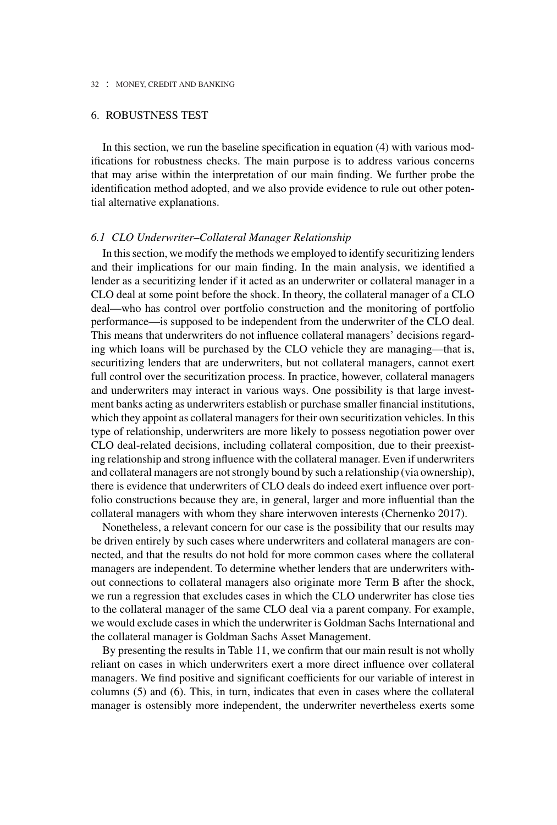## 6. ROBUSTNESS TEST

In this section, we run the baseline specification in equation (4) with various modifications for robustness checks. The main purpose is to address various concerns that may arise within the interpretation of our main finding. We further probe the identification method adopted, and we also provide evidence to rule out other potential alternative explanations.

## *6.1 CLO Underwriter–Collateral Manager Relationship*

In this section, we modify the methods we employed to identify securitizing lenders and their implications for our main finding. In the main analysis, we identified a lender as a securitizing lender if it acted as an underwriter or collateral manager in a CLO deal at some point before the shock. In theory, the collateral manager of a CLO deal—who has control over portfolio construction and the monitoring of portfolio performance—is supposed to be independent from the underwriter of the CLO deal. This means that underwriters do not influence collateral managers' decisions regarding which loans will be purchased by the CLO vehicle they are managing—that is, securitizing lenders that are underwriters, but not collateral managers, cannot exert full control over the securitization process. In practice, however, collateral managers and underwriters may interact in various ways. One possibility is that large investment banks acting as underwriters establish or purchase smaller financial institutions, which they appoint as collateral managers for their own securitization vehicles. In this type of relationship, underwriters are more likely to possess negotiation power over CLO deal-related decisions, including collateral composition, due to their preexisting relationship and strong influence with the collateral manager. Even if underwriters and collateral managers are not strongly bound by such a relationship (via ownership), there is evidence that underwriters of CLO deals do indeed exert influence over portfolio constructions because they are, in general, larger and more influential than the collateral managers with whom they share interwoven interests (Chernenko 2017).

Nonetheless, a relevant concern for our case is the possibility that our results may be driven entirely by such cases where underwriters and collateral managers are connected, and that the results do not hold for more common cases where the collateral managers are independent. To determine whether lenders that are underwriters without connections to collateral managers also originate more Term B after the shock, we run a regression that excludes cases in which the CLO underwriter has close ties to the collateral manager of the same CLO deal via a parent company. For example, we would exclude cases in which the underwriter is Goldman Sachs International and the collateral manager is Goldman Sachs Asset Management.

By presenting the results in Table 11, we confirm that our main result is not wholly reliant on cases in which underwriters exert a more direct influence over collateral managers. We find positive and significant coefficients for our variable of interest in columns (5) and (6). This, in turn, indicates that even in cases where the collateral manager is ostensibly more independent, the underwriter nevertheless exerts some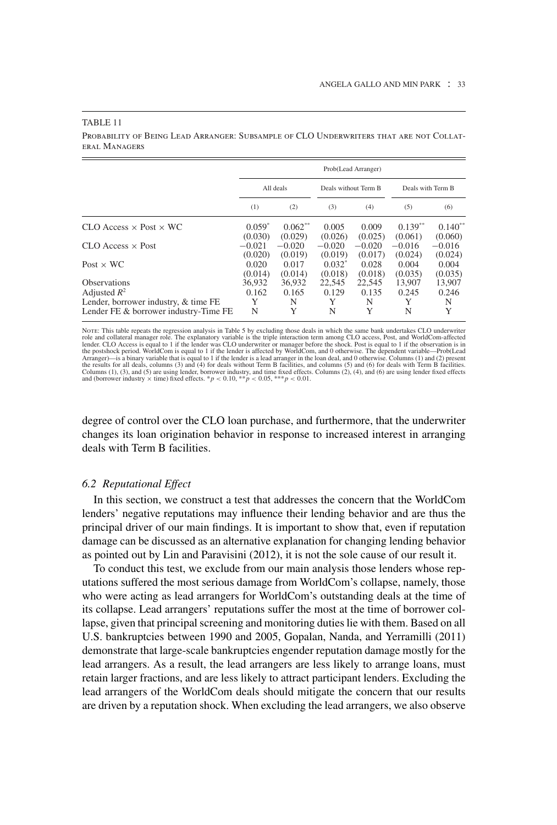#### TABLE 11

Probability of Being Lead Arranger: Subsample of CLO Underwriters that are not Collateral Managers

|                                                                               | Prob(Lead Arranger)  |                      |                      |                      |                      |                                |
|-------------------------------------------------------------------------------|----------------------|----------------------|----------------------|----------------------|----------------------|--------------------------------|
|                                                                               | All deals            |                      | Deals without Term B |                      | Deals with Term B    |                                |
|                                                                               | (1)                  | (2)                  | (3)                  | (4)                  | (5)                  | (6)                            |
| $CLO$ Access $\times$ Post $\times$ WC                                        | $0.059^*$<br>(0.030) | $0.062**$<br>(0.029) | 0.005<br>(0.026)     | 0.009<br>(0.025)     | $0.139**$<br>(0.061) | $0.140**$                      |
| $CLO$ Access $\times$ Post                                                    | $-0.021$<br>(0.020)  | $-0.020$<br>(0.019)  | $-0.020$<br>(0.019)  | $-0.020$<br>(0.017)  | $-0.016$<br>(0.024)  | (0.060)<br>$-0.016$<br>(0.024) |
| Post $\times$ WC                                                              | 0.020<br>(0.014)     | 0.017<br>(0.014)     | $0.032^*$<br>(0.018) | 0.028<br>(0.018)     | 0.004<br>(0.035)     | 0.004<br>(0.035)               |
| <b>Observations</b><br>Adjusted $R^2$<br>Lender, borrower industry, & time FE | 36.932<br>0.162<br>Y | 36.932<br>0.165<br>N | 22,545<br>0.129<br>Y | 22.545<br>0.135<br>N | 13.907<br>0.245<br>Y | 13,907<br>0.246<br>N           |
| Lender FE & borrower industry-Time FE                                         | N                    | Y                    | N                    | Y                    | N                    | Y                              |

Nore: This table repeats the regression analysis in Table 5 by excluding those deals in which the same bank undertakes CLO underwriter<br>role and collateral manager role. The explanatory variable is the triple interaction te the postshock period. WorldCom is equal to 1 if the lender is affected by WorldCom, and 0 otherwise. The dependent variable—Prob(Lead<br>Arranger)—is a binary variable that is equal to 1 if the lender is a lead arranger in th the results for all deals, columns (3) and (4) for deals without Term B facilities, and columns (5) and (6) for deals with Term B facilities.<br>Columns (1), (3), and (5) are using lender, borrower industry, and time fixed e

degree of control over the CLO loan purchase, and furthermore, that the underwriter changes its loan origination behavior in response to increased interest in arranging deals with Term B facilities.

## *6.2 Reputational Effect*

In this section, we construct a test that addresses the concern that the WorldCom lenders' negative reputations may influence their lending behavior and are thus the principal driver of our main findings. It is important to show that, even if reputation damage can be discussed as an alternative explanation for changing lending behavior as pointed out by Lin and Paravisini (2012), it is not the sole cause of our result it.

To conduct this test, we exclude from our main analysis those lenders whose reputations suffered the most serious damage from WorldCom's collapse, namely, those who were acting as lead arrangers for WorldCom's outstanding deals at the time of its collapse. Lead arrangers' reputations suffer the most at the time of borrower collapse, given that principal screening and monitoring duties lie with them. Based on all U.S. bankruptcies between 1990 and 2005, Gopalan, Nanda, and Yerramilli (2011) demonstrate that large-scale bankruptcies engender reputation damage mostly for the lead arrangers. As a result, the lead arrangers are less likely to arrange loans, must retain larger fractions, and are less likely to attract participant lenders. Excluding the lead arrangers of the WorldCom deals should mitigate the concern that our results are driven by a reputation shock. When excluding the lead arrangers, we also observe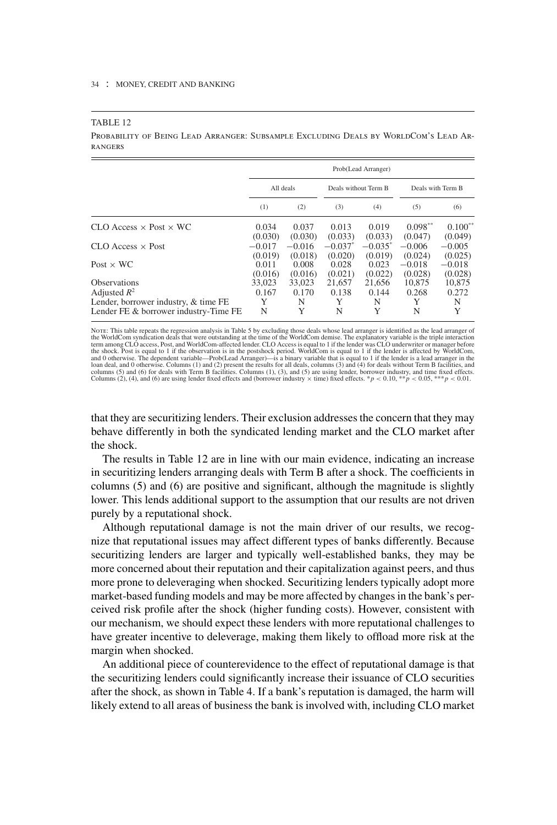#### TABLE 12

Probability of Being Lead Arranger: Subsample Excluding Deals by WorldCom's Lead Arrangers

|                                                        | Prob(Lead Arranger) |                     |                                  |                       |                      |                      |
|--------------------------------------------------------|---------------------|---------------------|----------------------------------|-----------------------|----------------------|----------------------|
|                                                        | All deals           |                     | Deals without Term B             |                       | Deals with Term B    |                      |
|                                                        | (1)                 | (2)                 | (3)                              | (4)                   | (5)                  | (6)                  |
| $CLO$ Access $\times$ Post $\times$ WC                 | 0.034<br>(0.030)    | 0.037<br>(0.030)    | 0.013<br>(0.033)                 | 0.019<br>(0.033)      | $0.098**$<br>(0.047) | $0.100**$<br>(0.049) |
| $CLO$ Access $\times$ Post                             | $-0.017$<br>(0.019) | $-0.016$<br>(0.018) | $-0.037$ <sup>*</sup><br>(0.020) | $-0.035^*$<br>(0.019) | $-0.006$<br>(0.024)  | $-0.005$<br>(0.025)  |
| Post $\times$ WC                                       | 0.011<br>(0.016)    | 0.008<br>(0.016)    | 0.028<br>(0.021)                 | 0.023<br>(0.022)      | $-0.018$<br>(0.028)  | $-0.018$<br>(0.028)  |
| <b>Observations</b>                                    | 33,023              | 33,023              | 21,657                           | 21.656                | 10.875               | 10.875               |
| Adjusted $R^2$<br>Lender, borrower industry, & time FE | 0.167<br>Y          | 0.170<br>N          | 0.138<br>Y                       | 0.144<br>N            | 0.268<br>Y           | 0.272<br>N           |
| Lender FE & borrower industry-Time FE                  | N                   | Y                   | N                                | Y                     | N                    | Y                    |

NorE: This table repeats the regression analysis in Table 5 by excluding those deals whose lead arranger is identified as the lead arranger of<br>the WorldCom syndication deals that were outstanding at the time of the WorldCo the shock. Post is equal to 1 if the observation is in the postshock period. WorldCom is equal to 1 if the lender is affected by WorldCom,<br>and 0 otherwise. The dependent variable—Prob(Lead Arranger)—is a binary variable th loan deal, and 0 otherwise. Columns (1) and (2) present the results for all deals, columns (3) and (4) for deals without Term B facilities, and columns (5) and (6) for deals with Term B facilities, and the facel effects. Columns (2), (4), and (6) are using lender fixed effects and (borrower industry  $\times$  time) fixed effects.  $*p < 0.10$ ,  $*p < 0.05$ ,  $**p < 0.01$ .

that they are securitizing lenders. Their exclusion addresses the concern that they may behave differently in both the syndicated lending market and the CLO market after the shock.

The results in Table 12 are in line with our main evidence, indicating an increase in securitizing lenders arranging deals with Term B after a shock. The coefficients in columns (5) and (6) are positive and significant, although the magnitude is slightly lower. This lends additional support to the assumption that our results are not driven purely by a reputational shock.

Although reputational damage is not the main driver of our results, we recognize that reputational issues may affect different types of banks differently. Because securitizing lenders are larger and typically well-established banks, they may be more concerned about their reputation and their capitalization against peers, and thus more prone to deleveraging when shocked. Securitizing lenders typically adopt more market-based funding models and may be more affected by changes in the bank's perceived risk profile after the shock (higher funding costs). However, consistent with our mechanism, we should expect these lenders with more reputational challenges to have greater incentive to deleverage, making them likely to offload more risk at the margin when shocked.

An additional piece of counterevidence to the effect of reputational damage is that the securitizing lenders could significantly increase their issuance of CLO securities after the shock, as shown in Table 4. If a bank's reputation is damaged, the harm will likely extend to all areas of business the bank is involved with, including CLO market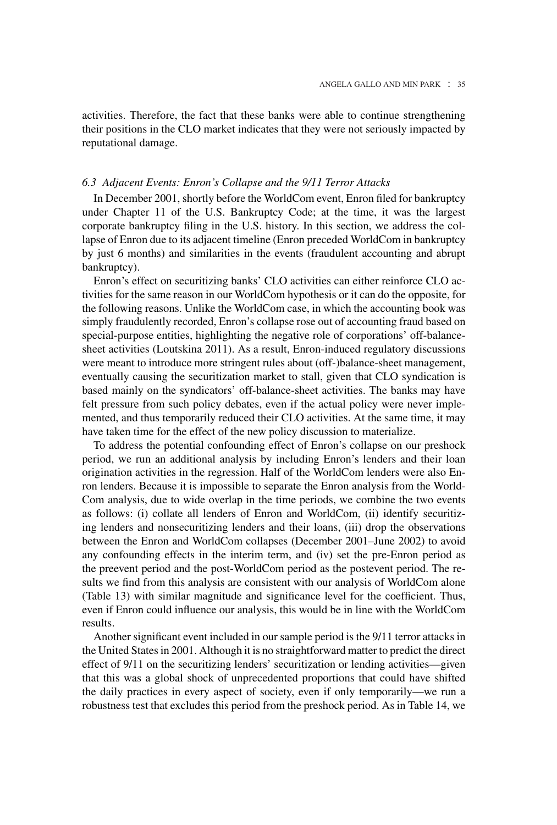activities. Therefore, the fact that these banks were able to continue strengthening their positions in the CLO market indicates that they were not seriously impacted by reputational damage.

## *6.3 Adjacent Events: Enron's Collapse and the 9/11 Terror Attacks*

In December 2001, shortly before the WorldCom event, Enron filed for bankruptcy under Chapter 11 of the U.S. Bankruptcy Code; at the time, it was the largest corporate bankruptcy filing in the U.S. history. In this section, we address the collapse of Enron due to its adjacent timeline (Enron preceded WorldCom in bankruptcy by just 6 months) and similarities in the events (fraudulent accounting and abrupt bankruptcy).

Enron's effect on securitizing banks' CLO activities can either reinforce CLO activities for the same reason in our WorldCom hypothesis or it can do the opposite, for the following reasons. Unlike the WorldCom case, in which the accounting book was simply fraudulently recorded, Enron's collapse rose out of accounting fraud based on special-purpose entities, highlighting the negative role of corporations' off-balancesheet activities (Loutskina 2011). As a result, Enron-induced regulatory discussions were meant to introduce more stringent rules about (off-)balance-sheet management, eventually causing the securitization market to stall, given that CLO syndication is based mainly on the syndicators' off-balance-sheet activities. The banks may have felt pressure from such policy debates, even if the actual policy were never implemented, and thus temporarily reduced their CLO activities. At the same time, it may have taken time for the effect of the new policy discussion to materialize.

To address the potential confounding effect of Enron's collapse on our preshock period, we run an additional analysis by including Enron's lenders and their loan origination activities in the regression. Half of the WorldCom lenders were also Enron lenders. Because it is impossible to separate the Enron analysis from the World-Com analysis, due to wide overlap in the time periods, we combine the two events as follows: (i) collate all lenders of Enron and WorldCom, (ii) identify securitizing lenders and nonsecuritizing lenders and their loans, (iii) drop the observations between the Enron and WorldCom collapses (December 2001–June 2002) to avoid any confounding effects in the interim term, and (iv) set the pre-Enron period as the preevent period and the post-WorldCom period as the postevent period. The results we find from this analysis are consistent with our analysis of WorldCom alone (Table 13) with similar magnitude and significance level for the coefficient. Thus, even if Enron could influence our analysis, this would be in line with the WorldCom results.

Another significant event included in our sample period is the 9/11 terror attacks in the United States in 2001. Although it is no straightforward matter to predict the direct effect of 9/11 on the securitizing lenders' securitization or lending activities—given that this was a global shock of unprecedented proportions that could have shifted the daily practices in every aspect of society, even if only temporarily—we run a robustness test that excludes this period from the preshock period. As in Table 14, we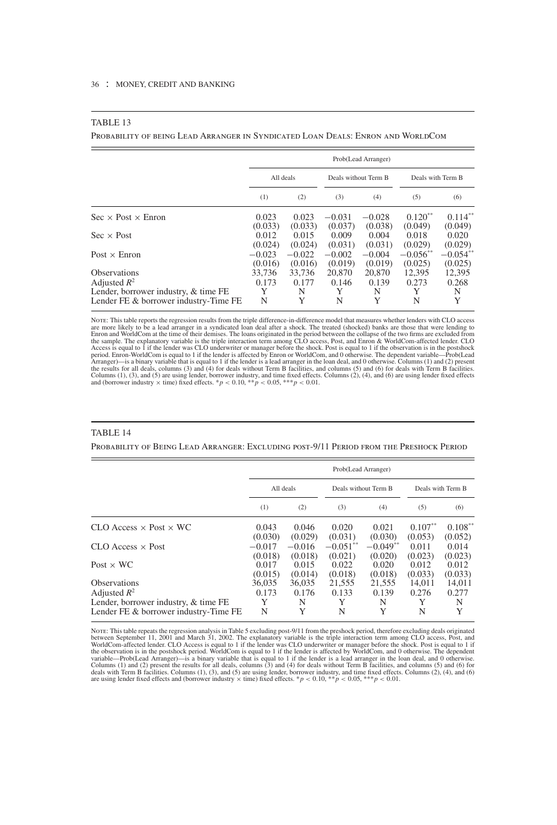#### TABLE 13

Probability of being Lead Arranger in Syndicated Loan Deals: Enron and WorldCom

|                                       | Prob(Lead Arranger) |                  |                      |                  |                   |                  |
|---------------------------------------|---------------------|------------------|----------------------|------------------|-------------------|------------------|
|                                       | All deals           |                  | Deals without Term B |                  | Deals with Term B |                  |
|                                       | (1)                 | (2)              | (3)                  | (4)              | (5)               | (6)              |
| $Sec \times Post \times Error$        | 0.023               | 0.023            | $-0.031$             | $-0.028$         | $0.120**$         | $0.114**$        |
| $Sec \times Post$                     | (0.033)<br>0.012    | (0.033)<br>0.015 | (0.037)<br>0.009     | (0.038)<br>0.004 | (0.049)<br>0.018  | (0.049)<br>0.020 |
|                                       | (0.024)             | (0.024)          | (0.031)              | (0.031)          | (0.029)           | (0.029)          |
| Post $\times$ Enron                   | $-0.023$            | $-0.022$         | $-0.002$             | $-0.004$         | $-0.056**$        | $-0.054**$       |
|                                       | (0.016)             | (0.016)          | (0.019)              | (0.019)          | (0.025)           | (0.025)          |
| <b>Observations</b>                   | 33.736              | 33,736           | 20,870               | 20,870           | 12,395            | 12,395           |
| Adjusted $R^2$                        | 0.173               | 0.177            | 0.146                | 0.139            | 0.273             | 0.268            |
| Lender, borrower industry, & time FE  | Y                   | N                | Y                    | N                | Y                 | N                |
| Lender FE & borrower industry-Time FE | N                   | Y                | N                    | Y                | N                 | Y                |

Nore: This table reports the regression results from the triple difference-in-difference model that measures whether lenders with CLO access<br>are more likely to be a lead arranger in a syndicated loan deal after a shock. Th Access is equal to 1 if the lender was CLO underwriter or manager before the shock. Post is equal to 1 if the observation is in the postshock<br>period. Enron-WorldCom is equal to 1 if the lender is affected by Enron or Worl

#### TABLE 14

Probability of Being Lead Arranger: Excluding post-9/11 Period from the Preshock Period

|                                        | Prob(Lead Arranger) |          |                      |            |                   |            |
|----------------------------------------|---------------------|----------|----------------------|------------|-------------------|------------|
|                                        | All deals           |          | Deals without Term B |            | Deals with Term B |            |
|                                        | (1)                 | (2)      | (3)                  | (4)        | (5)               | (6)        |
| $CLO$ Access $\times$ Post $\times$ WC | 0.043               | 0.046    | 0.020                | 0.021      | $0.107**$         | $0.108***$ |
|                                        | (0.030)             | (0.029)  | (0.031)              | (0.030)    | (0.053)           | (0.052)    |
| $CLO$ Access $\times$ Post             | $-0.017$            | $-0.016$ | $-0.051**$           | $-0.049**$ | 0.011             | 0.014      |
| Post $\times$ WC                       | (0.018)             | (0.018)  | (0.021)              | (0.020)    | (0.023)           | (0.023)    |
|                                        | 0.017               | 0.015    | 0.022                | 0.020      | 0.012             | 0.012      |
| <b>Observations</b>                    | (0.015)             | (0.014)  | (0.018)              | (0.018)    | (0.033)           | (0.033)    |
|                                        | 36,035              | 36,035   | 21,555               | 21,555     | 14,011            | 14,011     |
| Adjusted $R^2$                         | 0.173               | 0.176    | 0.133                | 0.139      | 0.276             | 0.277      |
| Lender, borrower industry, & time FE   | Y                   | N        | Y                    | N          | Y                 | N          |
| Lender FE & borrower industry-Time FE  | N                   | Y        | N                    | Y          | N                 | Y          |

Nor: This table repeats the regression analysis in Table 5 excluding post-9/11 from the preshock period, therefore excluding deals originated between September 11, 2001 and March 31, 2002. The explanatory variable is the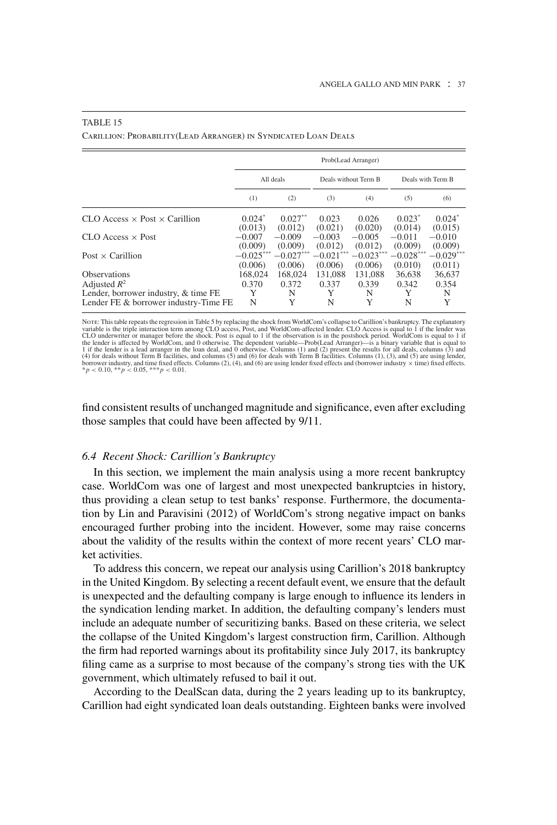|                                               | Prob(Lead Arranger) |                        |                        |                        |                        |                        |
|-----------------------------------------------|---------------------|------------------------|------------------------|------------------------|------------------------|------------------------|
|                                               | All deals           |                        | Deals without Term B   |                        | Deals with Term B      |                        |
|                                               | (1)                 | (2)                    | (3)                    | (4)                    | (5)                    | (6)                    |
| $CLO$ Access $\times$ Post $\times$ Carillion | $0.024*$            | $0.027**$              | 0.023                  | 0.026                  | $0.023*$               | $0.024^*$              |
| $CLO$ Access $\times$ Post                    | (0.013)<br>$-0.007$ | (0.012)<br>$-0.009$    | (0.021)<br>$-0.003$    | (0.020)<br>$-0.005$    | (0.014)<br>$-0.011$    | (0.015)<br>$-0.010$    |
| Post $\times$ Carillion                       | (0.009)<br>$-0.025$ | (0.009)<br>$-0.027***$ | (0.012)<br>$-0.021***$ | (0.012)<br>$-0.023***$ | (0.009)<br>$-0.028***$ | (0.009)<br>$-0.029***$ |
| <b>Observations</b>                           | (0.006)<br>168,024  | (0.006)<br>168,024     | (0.006)<br>131.088     | (0.006)<br>131.088     | (0.010)<br>36.638      | (0.011)<br>36,637      |
| Adjusted $R^2$                                | 0.370               | 0.372                  | 0.337                  | 0.339                  | 0.342                  | 0.354                  |
| Lender, borrower industry, & time FE          | Y                   | N                      | Y                      | N                      | Y                      | N                      |
| Lender FE & borrower industry-Time FE         | N                   | Y                      | N                      | Y                      | N                      | Y                      |

#### TABLE 15

Carillion: Probability(Lead Arranger) in Syndicated Loan Deals

Note: This table repeats the regression in Table 5 by replacing the shock from WorldCom's collapse to Carillion's bankruptcy. The explanatory variable is the triple interaction term among CLO access, Post, and WorldCom-affected lender. CLO Access is equal to 1 if the lender was<br>CLO underwriter or manager before the shock. Post is equal to 1 if the observation is the lender is affected by WorldCom, and 0 otherwise. The dependent variable —Prob(Lead Arranger)—is a binary variable that is equal to 1 if the lender is a lead arranger in the loan deal, and 0 otherwise. Columns (1) and

find consistent results of unchanged magnitude and significance, even after excluding those samples that could have been affected by 9/11.

## *6.4 Recent Shock: Carillion's Bankruptcy*

In this section, we implement the main analysis using a more recent bankruptcy case. WorldCom was one of largest and most unexpected bankruptcies in history, thus providing a clean setup to test banks' response. Furthermore, the documentation by Lin and Paravisini (2012) of WorldCom's strong negative impact on banks encouraged further probing into the incident. However, some may raise concerns about the validity of the results within the context of more recent years' CLO market activities.

To address this concern, we repeat our analysis using Carillion's 2018 bankruptcy in the United Kingdom. By selecting a recent default event, we ensure that the default is unexpected and the defaulting company is large enough to influence its lenders in the syndication lending market. In addition, the defaulting company's lenders must include an adequate number of securitizing banks. Based on these criteria, we select the collapse of the United Kingdom's largest construction firm, Carillion. Although the firm had reported warnings about its profitability since July 2017, its bankruptcy filing came as a surprise to most because of the company's strong ties with the UK government, which ultimately refused to bail it out.

According to the DealScan data, during the 2 years leading up to its bankruptcy, Carillion had eight syndicated loan deals outstanding. Eighteen banks were involved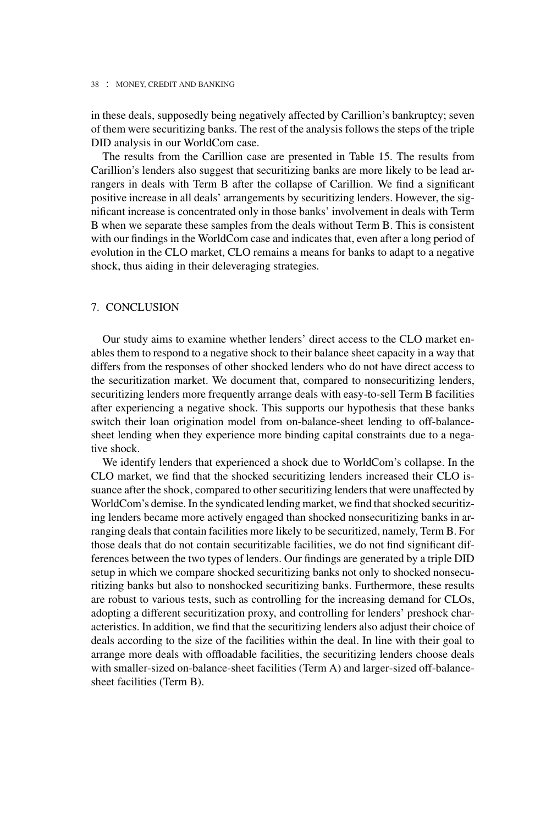in these deals, supposedly being negatively affected by Carillion's bankruptcy; seven of them were securitizing banks. The rest of the analysis follows the steps of the triple DID analysis in our WorldCom case.

The results from the Carillion case are presented in Table 15. The results from Carillion's lenders also suggest that securitizing banks are more likely to be lead arrangers in deals with Term B after the collapse of Carillion. We find a significant positive increase in all deals' arrangements by securitizing lenders. However, the significant increase is concentrated only in those banks' involvement in deals with Term B when we separate these samples from the deals without Term B. This is consistent with our findings in the WorldCom case and indicates that, even after a long period of evolution in the CLO market, CLO remains a means for banks to adapt to a negative shock, thus aiding in their deleveraging strategies.

## 7. CONCLUSION

Our study aims to examine whether lenders' direct access to the CLO market enables them to respond to a negative shock to their balance sheet capacity in a way that differs from the responses of other shocked lenders who do not have direct access to the securitization market. We document that, compared to nonsecuritizing lenders, securitizing lenders more frequently arrange deals with easy-to-sell Term B facilities after experiencing a negative shock. This supports our hypothesis that these banks switch their loan origination model from on-balance-sheet lending to off-balancesheet lending when they experience more binding capital constraints due to a negative shock.

We identify lenders that experienced a shock due to WorldCom's collapse. In the CLO market, we find that the shocked securitizing lenders increased their CLO issuance after the shock, compared to other securitizing lenders that were unaffected by WorldCom's demise. In the syndicated lending market, we find that shocked securitizing lenders became more actively engaged than shocked nonsecuritizing banks in arranging deals that contain facilities more likely to be securitized, namely, Term B. For those deals that do not contain securitizable facilities, we do not find significant differences between the two types of lenders. Our findings are generated by a triple DID setup in which we compare shocked securitizing banks not only to shocked nonsecuritizing banks but also to nonshocked securitizing banks. Furthermore, these results are robust to various tests, such as controlling for the increasing demand for CLOs, adopting a different securitization proxy, and controlling for lenders' preshock characteristics. In addition, we find that the securitizing lenders also adjust their choice of deals according to the size of the facilities within the deal. In line with their goal to arrange more deals with offloadable facilities, the securitizing lenders choose deals with smaller-sized on-balance-sheet facilities (Term A) and larger-sized off-balancesheet facilities (Term B).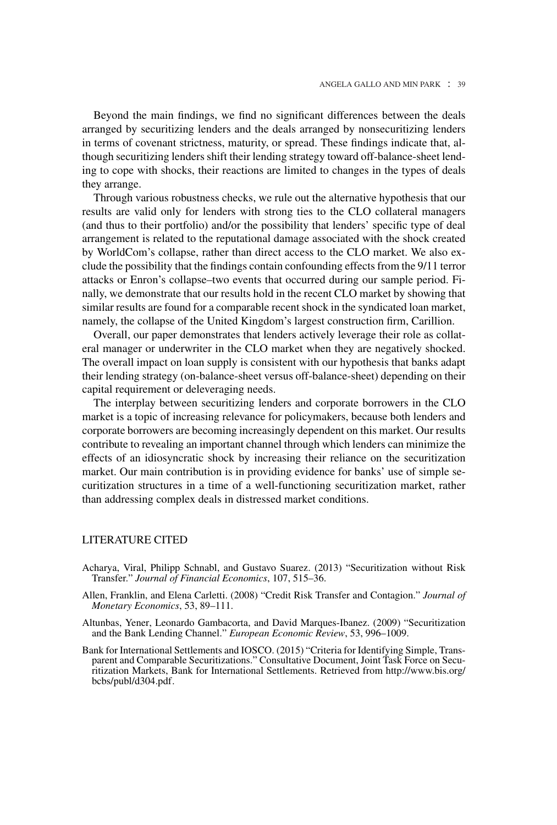Beyond the main findings, we find no significant differences between the deals arranged by securitizing lenders and the deals arranged by nonsecuritizing lenders in terms of covenant strictness, maturity, or spread. These findings indicate that, although securitizing lenders shift their lending strategy toward off-balance-sheet lending to cope with shocks, their reactions are limited to changes in the types of deals they arrange.

Through various robustness checks, we rule out the alternative hypothesis that our results are valid only for lenders with strong ties to the CLO collateral managers (and thus to their portfolio) and/or the possibility that lenders' specific type of deal arrangement is related to the reputational damage associated with the shock created by WorldCom's collapse, rather than direct access to the CLO market. We also exclude the possibility that the findings contain confounding effects from the 9/11 terror attacks or Enron's collapse–two events that occurred during our sample period. Finally, we demonstrate that our results hold in the recent CLO market by showing that similar results are found for a comparable recent shock in the syndicated loan market, namely, the collapse of the United Kingdom's largest construction firm, Carillion.

Overall, our paper demonstrates that lenders actively leverage their role as collateral manager or underwriter in the CLO market when they are negatively shocked. The overall impact on loan supply is consistent with our hypothesis that banks adapt their lending strategy (on-balance-sheet versus off-balance-sheet) depending on their capital requirement or deleveraging needs.

The interplay between securitizing lenders and corporate borrowers in the CLO market is a topic of increasing relevance for policymakers, because both lenders and corporate borrowers are becoming increasingly dependent on this market. Our results contribute to revealing an important channel through which lenders can minimize the effects of an idiosyncratic shock by increasing their reliance on the securitization market. Our main contribution is in providing evidence for banks' use of simple securitization structures in a time of a well-functioning securitization market, rather than addressing complex deals in distressed market conditions.

#### LITERATURE CITED

- Acharya, Viral, Philipp Schnabl, and Gustavo Suarez. (2013) "Securitization without Risk Transfer." *Journal of Financial Economics*, 107, 515–36.
- Allen, Franklin, and Elena Carletti. (2008) "Credit Risk Transfer and Contagion." *Journal of Monetary Economics*, 53, 89–111.
- Altunbas, Yener, Leonardo Gambacorta, and David Marques-Ibanez. (2009) "Securitization and the Bank Lending Channel." *European Economic Review*, 53, 996–1009.
- Bank for International Settlements and IOSCO. (2015) "Criteria for Identifying Simple, Transparent and Comparable Securitizations." Consultative Document, Joint Task Force on Securitization Markets, Bank for International Settlements. Retrieved from [http://www.bis.org/](http://www.bis.org/bcbs/publ/d304.pdf) [bcbs/publ/d304.pdf.](http://www.bis.org/bcbs/publ/d304.pdf)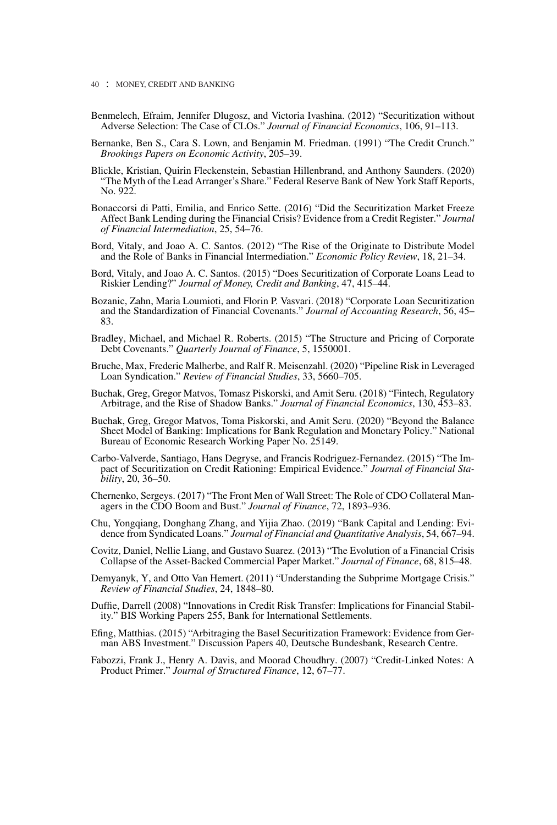- Benmelech, Efraim, Jennifer Dlugosz, and Victoria Ivashina. (2012) "Securitization without Adverse Selection: The Case of CLOs." *Journal of Financial Economics*, 106, 91–113.
- Bernanke, Ben S., Cara S. Lown, and Benjamin M. Friedman. (1991) "The Credit Crunch." *Brookings Papers on Economic Activity*, 205–39.
- Blickle, Kristian, Quirin Fleckenstein, Sebastian Hillenbrand, and Anthony Saunders. (2020) "The Myth of the Lead Arranger's Share." Federal Reserve Bank of New York Staff Reports, No. 922.
- Bonaccorsi di Patti, Emilia, and Enrico Sette. (2016) "Did the Securitization Market Freeze Affect Bank Lending during the Financial Crisis? Evidence from a Credit Register." *Journal of Financial Intermediation*, 25, 54–76.
- Bord, Vitaly, and Joao A. C. Santos. (2012) "The Rise of the Originate to Distribute Model and the Role of Banks in Financial Intermediation." *Economic Policy Review*, 18, 21–34.
- Bord, Vitaly, and Joao A. C. Santos. (2015) "Does Securitization of Corporate Loans Lead to Riskier Lending?" *Journal of Money, Credit and Banking*, 47, 415–44.
- Bozanic, Zahn, Maria Loumioti, and Florin P. Vasvari. (2018) "Corporate Loan Securitization and the Standardization of Financial Covenants." *Journal of Accounting Research*, 56, 45– 83.
- Bradley, Michael, and Michael R. Roberts. (2015) "The Structure and Pricing of Corporate Debt Covenants." *Quarterly Journal of Finance*, 5, 1550001.
- Bruche, Max, Frederic Malherbe, and Ralf R. Meisenzahl. (2020) "Pipeline Risk in Leveraged Loan Syndication." *Review of Financial Studies*, 33, 5660–705.
- Buchak, Greg, Gregor Matvos, Tomasz Piskorski, and Amit Seru. (2018) "Fintech, Regulatory Arbitrage, and the Rise of Shadow Banks." *Journal of Financial Economics*, 130, 453–83.
- Buchak, Greg, Gregor Matvos, Toma Piskorski, and Amit Seru. (2020) "Beyond the Balance Sheet Model of Banking: Implications for Bank Regulation and Monetary Policy." National Bureau of Economic Research Working Paper No. 25149.
- Carbo-Valverde, Santiago, Hans Degryse, and Francis Rodriguez-Fernandez. (2015) "The Impact of Securitization on Credit Rationing: Empirical Evidence." *Journal of Financial Stability*, 20, 36–50.
- Chernenko, Sergeys. (2017) "The Front Men of Wall Street: The Role of CDO Collateral Managers in the CDO Boom and Bust." *Journal of Finance*, 72, 1893–936.
- Chu, Yongqiang, Donghang Zhang, and Yijia Zhao. (2019) "Bank Capital and Lending: Evidence from Syndicated Loans." *Journal of Financial and Quantitative Analysis*, 54, 667–94.
- Covitz, Daniel, Nellie Liang, and Gustavo Suarez. (2013) "The Evolution of a Financial Crisis Collapse of the Asset-Backed Commercial Paper Market." *Journal of Finance*, 68, 815–48.
- Demyanyk, Y, and Otto Van Hemert. (2011) "Understanding the Subprime Mortgage Crisis." *Review of Financial Studies*, 24, 1848–80.
- Duffie, Darrell (2008) "Innovations in Credit Risk Transfer: Implications for Financial Stability." BIS Working Papers 255, Bank for International Settlements.
- Efing, Matthias. (2015) "Arbitraging the Basel Securitization Framework: Evidence from German ABS Investment." Discussion Papers 40, Deutsche Bundesbank, Research Centre.
- Fabozzi, Frank J., Henry A. Davis, and Moorad Choudhry. (2007) "Credit-Linked Notes: A Product Primer." *Journal of Structured Finance*, 12, 67–77.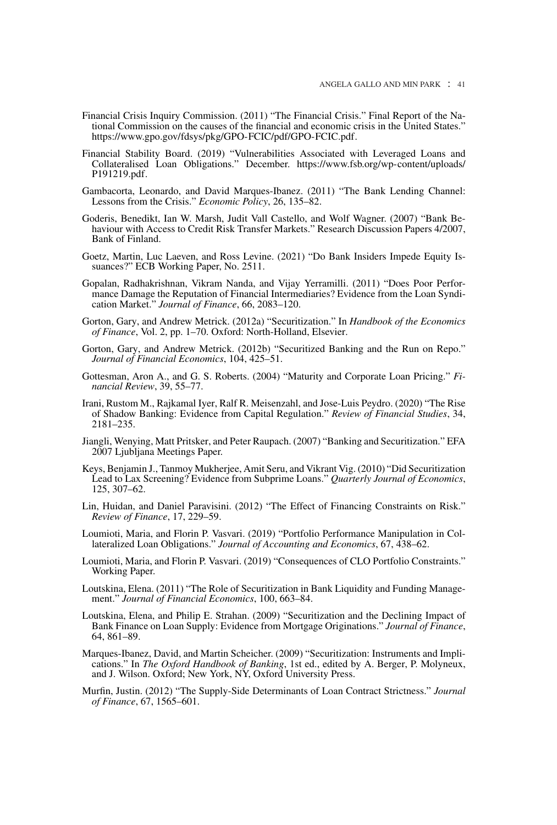- Financial Crisis Inquiry Commission. (2011) "The Financial Crisis." Final Report of the National Commission on the causes of the financial and economic crisis in the United States." [https://www.gpo.gov/fdsys/pkg/GPO-FCIC/pdf/GPO-FCIC.pdf.](https://www.gpo.gov/fdsys/pkg/GPO-FCIC/pdf/GPO-FCIC.pdf)
- Financial Stability Board. (2019) "Vulnerabilities Associated with Leveraged Loans and Collateralised Loan Obligations." December. [https://www.fsb.org/wp-content/uploads/](https://www.fsb.org/wp-content/uploads/P191219.pdf) [P191219.pdf.](https://www.fsb.org/wp-content/uploads/P191219.pdf)
- Gambacorta, Leonardo, and David Marques-Ibanez. (2011) "The Bank Lending Channel: Lessons from the Crisis." *Economic Policy*, 26, 135–82.
- Goderis, Benedikt, Ian W. Marsh, Judit Vall Castello, and Wolf Wagner. (2007) "Bank Behaviour with Access to Credit Risk Transfer Markets." Research Discussion Papers 4/2007, Bank of Finland.
- Goetz, Martin, Luc Laeven, and Ross Levine. (2021) "Do Bank Insiders Impede Equity Issuances?" ECB Working Paper, No. 2511.
- Gopalan, Radhakrishnan, Vikram Nanda, and Vijay Yerramilli. (2011) "Does Poor Performance Damage the Reputation of Financial Intermediaries? Evidence from the Loan Syndication Market." *Journal of Finance*, 66, 2083–120.
- Gorton, Gary, and Andrew Metrick. (2012a) "Securitization." In *Handbook of the Economics of Finance*, Vol. 2, pp. 1–70. Oxford: North-Holland, Elsevier.
- Gorton, Gary, and Andrew Metrick. (2012b) "Securitized Banking and the Run on Repo." *Journal of Financial Economics*, 104, 425–51.
- Gottesman, Aron A., and G. S. Roberts. (2004) "Maturity and Corporate Loan Pricing." *Financial Review*, 39, 55–77.
- Irani, Rustom M., Rajkamal Iyer, Ralf R. Meisenzahl, and Jose-Luis Peydro. (2020) "The Rise of Shadow Banking: Evidence from Capital Regulation." *Review of Financial Studies*, 34, 2181–235.
- Jiangli, Wenying, Matt Pritsker, and Peter Raupach. (2007) "Banking and Securitization." EFA 2007 Ljubljana Meetings Paper.
- Keys, Benjamin J., Tanmoy Mukherjee, Amit Seru, and Vikrant Vig. (2010) "Did Securitization Lead to Lax Screening? Evidence from Subprime Loans." *Quarterly Journal of Economics*, 125, 307–62.
- Lin, Huidan, and Daniel Paravisini. (2012) "The Effect of Financing Constraints on Risk." *Review of Finance*, 17, 229–59.
- Loumioti, Maria, and Florin P. Vasvari. (2019) "Portfolio Performance Manipulation in Collateralized Loan Obligations." *Journal of Accounting and Economics*, 67, 438–62.
- Loumioti, Maria, and Florin P. Vasvari. (2019) "Consequences of CLO Portfolio Constraints." Working Paper.
- Loutskina, Elena. (2011) "The Role of Securitization in Bank Liquidity and Funding Management." *Journal of Financial Economics*, 100, 663–84.
- Loutskina, Elena, and Philip E. Strahan. (2009) "Securitization and the Declining Impact of Bank Finance on Loan Supply: Evidence from Mortgage Originations." *Journal of Finance*, 64, 861–89.
- Marques-Ibanez, David, and Martin Scheicher. (2009) "Securitization: Instruments and Implications." In *The Oxford Handbook of Banking*, 1st ed., edited by A. Berger, P. Molyneux, and J. Wilson. Oxford; New York, NY, Oxford University Press.
- Murfin, Justin. (2012) "The Supply-Side Determinants of Loan Contract Strictness." *Journal of Finance*, 67, 1565–601.